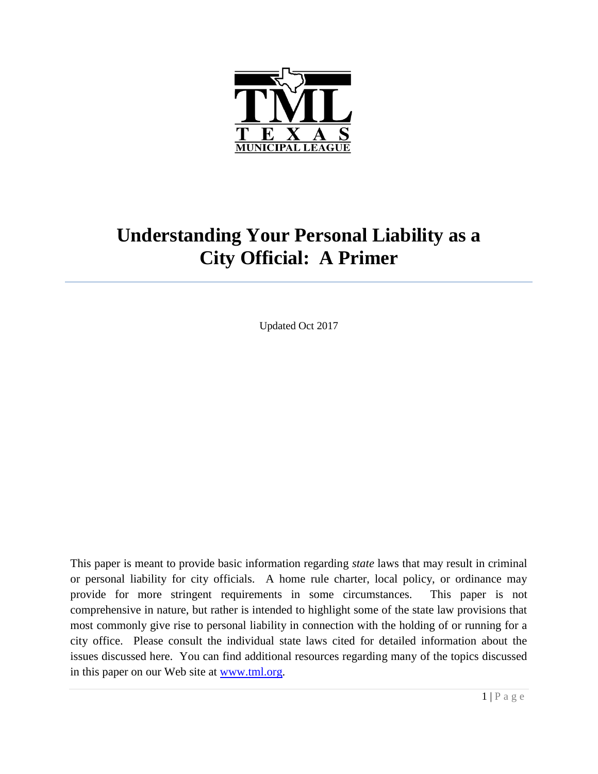

# **Understanding Your Personal Liability as a City Official: A Primer**

Updated Oct 2017

This paper is meant to provide basic information regarding *state* laws that may result in criminal or personal liability for city officials. A home rule charter, local policy, or ordinance may provide for more stringent requirements in some circumstances. This paper is not comprehensive in nature, but rather is intended to highlight some of the state law provisions that most commonly give rise to personal liability in connection with the holding of or running for a city office. Please consult the individual state laws cited for detailed information about the issues discussed here. You can find additional resources regarding many of the topics discussed in this paper on our Web site at [www.tml.org.](www.tml.org)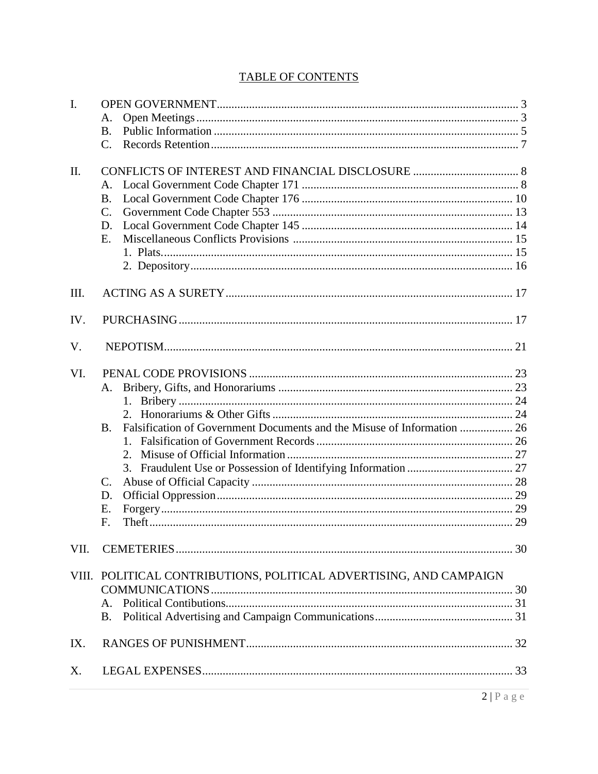# **TABLE OF CONTENTS**

| А.                                                                 |                                                                                                                                 |
|--------------------------------------------------------------------|---------------------------------------------------------------------------------------------------------------------------------|
| B.                                                                 |                                                                                                                                 |
| $\mathcal{C}$ .                                                    |                                                                                                                                 |
|                                                                    |                                                                                                                                 |
|                                                                    |                                                                                                                                 |
|                                                                    |                                                                                                                                 |
|                                                                    |                                                                                                                                 |
|                                                                    |                                                                                                                                 |
|                                                                    |                                                                                                                                 |
|                                                                    |                                                                                                                                 |
|                                                                    |                                                                                                                                 |
|                                                                    |                                                                                                                                 |
|                                                                    |                                                                                                                                 |
|                                                                    |                                                                                                                                 |
|                                                                    |                                                                                                                                 |
|                                                                    |                                                                                                                                 |
|                                                                    |                                                                                                                                 |
|                                                                    |                                                                                                                                 |
|                                                                    |                                                                                                                                 |
| <b>B.</b>                                                          |                                                                                                                                 |
|                                                                    |                                                                                                                                 |
|                                                                    |                                                                                                                                 |
|                                                                    |                                                                                                                                 |
| C.                                                                 |                                                                                                                                 |
| D.                                                                 |                                                                                                                                 |
| E.                                                                 |                                                                                                                                 |
| F.                                                                 |                                                                                                                                 |
|                                                                    |                                                                                                                                 |
| VIII. POLITICAL CONTRIBUTIONS, POLITICAL ADVERTISING, AND CAMPAIGN |                                                                                                                                 |
|                                                                    |                                                                                                                                 |
| A.                                                                 |                                                                                                                                 |
| <b>B.</b>                                                          |                                                                                                                                 |
|                                                                    |                                                                                                                                 |
|                                                                    |                                                                                                                                 |
|                                                                    | A.<br><b>B.</b><br>$\mathcal{C}$ .<br>D.<br>E.<br>A.<br>Falsification of Government Documents and the Misuse of Information  26 |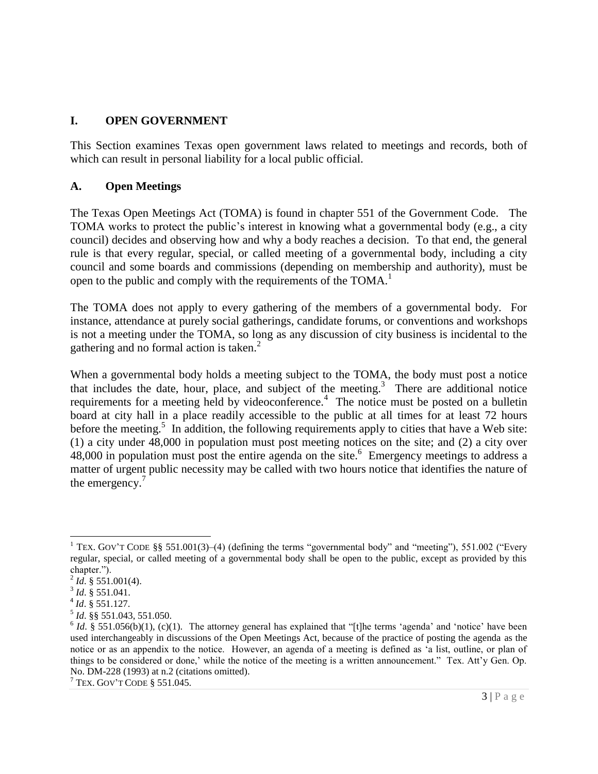## **I. OPEN GOVERNMENT**

This Section examines Texas open government laws related to meetings and records, both of which can result in personal liability for a local public official.

## **A. Open Meetings**

The Texas Open Meetings Act (TOMA) is found in chapter 551 of the Government Code. The TOMA works to protect the public's interest in knowing what a governmental body (e.g., a city council) decides and observing how and why a body reaches a decision. To that end, the general rule is that every regular, special, or called meeting of a governmental body, including a city council and some boards and commissions (depending on membership and authority), must be open to the public and comply with the requirements of the TOMA.<sup>1</sup>

The TOMA does not apply to every gathering of the members of a governmental body. For instance, attendance at purely social gatherings, candidate forums, or conventions and workshops is not a meeting under the TOMA, so long as any discussion of city business is incidental to the gathering and no formal action is taken.<sup>2</sup>

When a governmental body holds a meeting subject to the TOMA, the body must post a notice that includes the date, hour, place, and subject of the meeting.<sup>3</sup> There are additional notice requirements for a meeting held by videoconference.<sup>4</sup> The notice must be posted on a bulletin board at city hall in a place readily accessible to the public at all times for at least 72 hours before the meeting.<sup>5</sup> In addition, the following requirements apply to cities that have a Web site: (1) a city under 48,000 in population must post meeting notices on the site; and (2) a city over  $48,000$  in population must post the entire agenda on the site.<sup>6</sup> Emergency meetings to address a matter of urgent public necessity may be called with two hours notice that identifies the nature of the emergency.<sup>7</sup>

l

<sup>&</sup>lt;sup>1</sup> TEX. GOV'T CODE §§ 551.001(3)–(4) (defining the terms "governmental body" and "meeting"), 551.002 ("Every regular, special, or called meeting of a governmental body shall be open to the public, except as provided by this chapter.").

 $^{2}$  *Id.* § 551.001(4).

<sup>3</sup> *Id*. § 551.041.

<sup>4</sup> *Id*. § 551.127.

<sup>5</sup> *Id*. §§ 551.043, 551.050.

 $6$  *Id*. § 551.056(b)(1), (c)(1). The attorney general has explained that "[t]he terms 'agenda' and 'notice' have been used interchangeably in discussions of the Open Meetings Act, because of the practice of posting the agenda as the notice or as an appendix to the notice. However, an agenda of a meeting is defined as 'a list, outline, or plan of things to be considered or done,' while the notice of the meeting is a written announcement." Tex. Att'y Gen. Op. No. DM-228 (1993) at n.2 (citations omitted).

 $7$  TEX. GOV'T CODE § 551.045.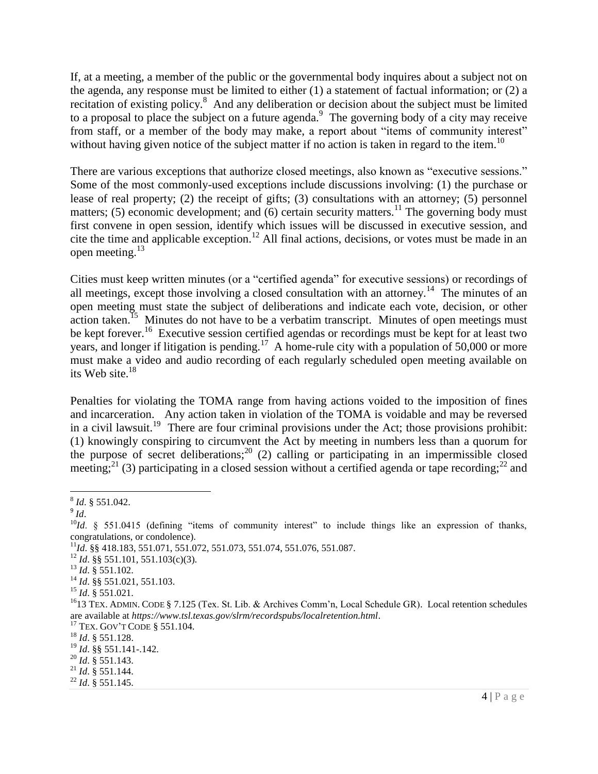If, at a meeting, a member of the public or the governmental body inquires about a subject not on the agenda, any response must be limited to either (1) a statement of factual information; or (2) a recitation of existing policy.<sup>8</sup> And any deliberation or decision about the subject must be limited to a proposal to place the subject on a future agenda.<sup>9</sup> The governing body of a city may receive from staff, or a member of the body may make, a report about "items of community interest" without having given notice of the subject matter if no action is taken in regard to the item.<sup>10</sup>

There are various exceptions that authorize closed meetings, also known as "executive sessions." Some of the most commonly-used exceptions include discussions involving: (1) the purchase or lease of real property; (2) the receipt of gifts; (3) consultations with an attorney; (5) personnel matters; (5) economic development; and (6) certain security matters.<sup>11</sup> The governing body must first convene in open session, identify which issues will be discussed in executive session, and cite the time and applicable exception.<sup>12</sup> All final actions, decisions, or votes must be made in an open meeting. $^{13}$ 

Cities must keep written minutes (or a "certified agenda" for executive sessions) or recordings of all meetings, except those involving a closed consultation with an attorney.<sup>14</sup> The minutes of an open meeting must state the subject of deliberations and indicate each vote, decision, or other action taken.<sup>15</sup> Minutes do not have to be a verbatim transcript. Minutes of open meetings must be kept forever.<sup>16</sup> Executive session certified agendas or recordings must be kept for at least two years, and longer if litigation is pending.<sup>17</sup> A home-rule city with a population of 50,000 or more must make a video and audio recording of each regularly scheduled open meeting available on its Web site. $18$ 

Penalties for violating the TOMA range from having actions voided to the imposition of fines and incarceration. Any action taken in violation of the TOMA is voidable and may be reversed in a civil lawsuit.<sup>19</sup> There are four criminal provisions under the Act; those provisions prohibit: (1) knowingly conspiring to circumvent the Act by meeting in numbers less than a quorum for the purpose of secret deliberations;<sup>20</sup> (2) calling or participating in an impermissible closed meeting;<sup>21</sup> (3) participating in a closed session without a certified agenda or tape recording;<sup>22</sup> and

 $\overline{\phantom{a}}$ 8 *Id*. § 551.042.

<sup>9</sup> *Id*.

<sup>&</sup>lt;sup>10</sup>Id. § 551.0415 (defining "items of community interest" to include things like an expression of thanks, congratulations, or condolence).

<sup>11</sup>*Id*. §§ 418.183, 551.071, 551.072, 551.073, 551.074, 551.076, 551.087.

<sup>12</sup> *Id*. §§ 551.101, 551.103(c)(3).

<sup>13</sup> *Id*. § 551.102.

<sup>14</sup> *Id*. §§ 551.021, 551.103.

<sup>15</sup> *Id*. § 551.021.

<sup>&</sup>lt;sup>16</sup>13 TEX. ADMIN. CODE § 7.125 (Tex. St. Lib. & Archives Comm'n, Local Schedule GR). Local retention schedules are available at *https://www.tsl.texas.gov/slrm/recordspubs/localretention.html*.

<sup>17</sup> TEX. GOV'T CODE § 551.104.

<sup>18</sup> *Id*. § 551.128.

<sup>19</sup> *Id*. §§ 551.141-.142.

<sup>20</sup> *Id*. § 551.143.

<sup>21</sup> *Id*. § 551.144.

<sup>22</sup> *Id*. § 551.145.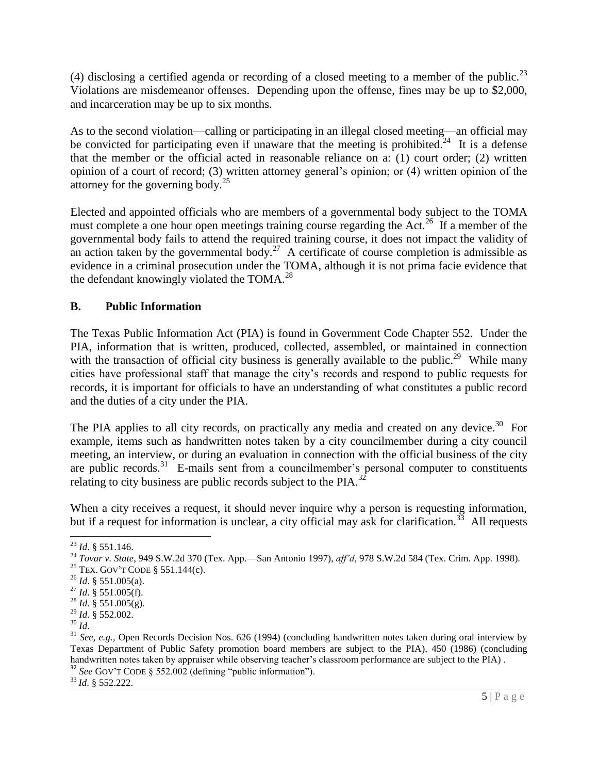(4) disclosing a certified agenda or recording of a closed meeting to a member of the public.<sup>23</sup> Violations are misdemeanor offenses. Depending upon the offense, fines may be up to \$2,000, and incarceration may be up to six months.

As to the second violation—calling or participating in an illegal closed meeting—an official may be convicted for participating even if unaware that the meeting is prohibited.<sup>24</sup> It is a defense that the member or the official acted in reasonable reliance on a: (1) court order; (2) written opinion of a court of record; (3) written attorney general's opinion; or (4) written opinion of the attorney for the governing body. $25$ 

Elected and appointed officials who are members of a governmental body subject to the TOMA must complete a one hour open meetings training course regarding the Act.<sup>26</sup> If a member of the governmental body fails to attend the required training course, it does not impact the validity of an action taken by the governmental body.<sup>27</sup> A certificate of course completion is admissible as evidence in a criminal prosecution under the TOMA, although it is not prima facie evidence that the defendant knowingly violated the TOMA.<sup>28</sup>

# **B. Public Information**

The Texas Public Information Act (PIA) is found in Government Code Chapter 552. Under the PIA, information that is written, produced, collected, assembled, or maintained in connection with the transaction of official city business is generally available to the public.<sup>29</sup> While many cities have professional staff that manage the city's records and respond to public requests for records, it is important for officials to have an understanding of what constitutes a public record and the duties of a city under the PIA.

The PIA applies to all city records, on practically any media and created on any device.<sup>30</sup> For example, items such as handwritten notes taken by a city councilmember during a city council meeting, an interview, or during an evaluation in connection with the official business of the city are public records.<sup>31</sup> E-mails sent from a councilmember's personal computer to constituents relating to city business are public records subject to the PIA. $^{32}$ 

When a city receives a request, it should never inquire why a person is requesting information, but if a request for information is unclear, a city official may ask for clarification.<sup>33</sup> All requests

<sup>33</sup> *Id*. § 552.222.

l <sup>23</sup> *Id*. § 551.146.

<sup>24</sup> *Tovar v. State*, 949 S.W.2d 370 (Tex. App.—San Antonio 1997), *aff'd*, 978 S.W.2d 584 (Tex. Crim. App. 1998).

<sup>&</sup>lt;sup>25</sup> TEX. GOV'T CODE § 551.144(c).

<sup>26</sup> *Id*. § 551.005(a).

<sup>27</sup> *Id*. § 551.005(f).

<sup>28</sup> *Id*. § 551.005(g).

<sup>29</sup> *Id*. § 552.002.

 $30 \overline{Id}$ .

<sup>&</sup>lt;sup>31</sup> *See, e.g.*, Open Records Decision Nos. 626 (1994) (concluding handwritten notes taken during oral interview by Texas Department of Public Safety promotion board members are subject to the PIA), 450 (1986) (concluding handwritten notes taken by appraiser while observing teacher's classroom performance are subject to the PIA) . <sup>32</sup> *See* GOV'T CODE § 552.002 (defining "public information").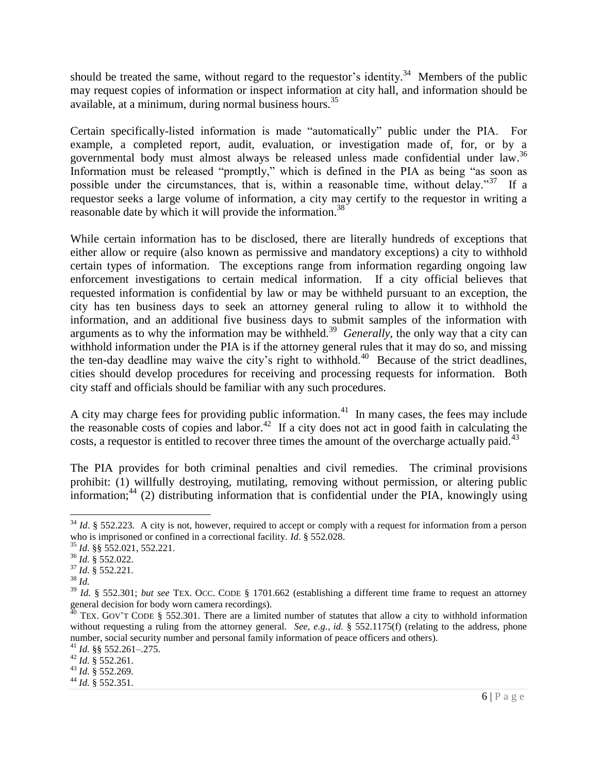should be treated the same, without regard to the requestor's identity.<sup>34</sup> Members of the public may request copies of information or inspect information at city hall, and information should be available, at a minimum, during normal business hours.<sup>35</sup>

Certain specifically-listed information is made "automatically" public under the PIA. For example, a completed report, audit, evaluation, or investigation made of, for, or by a governmental body must almost always be released unless made confidential under law.<sup>36</sup> Information must be released "promptly," which is defined in the PIA as being "as soon as possible under the circumstances, that is, within a reasonable time, without delay."<sup>37</sup> If a requestor seeks a large volume of information, a city may certify to the requestor in writing a reasonable date by which it will provide the information.<sup>38</sup> 

While certain information has to be disclosed, there are literally hundreds of exceptions that either allow or require (also known as permissive and mandatory exceptions) a city to withhold certain types of information. The exceptions range from information regarding ongoing law enforcement investigations to certain medical information. If a city official believes that requested information is confidential by law or may be withheld pursuant to an exception, the city has ten business days to seek an attorney general ruling to allow it to withhold the information, and an additional five business days to submit samples of the information with arguments as to why the information may be withheld.<sup>39</sup> Generally, the only way that a city can withhold information under the PIA is if the attorney general rules that it may do so, and missing the ten-day deadline may waive the city's right to withhold.<sup>40</sup> Because of the strict deadlines, cities should develop procedures for receiving and processing requests for information. Both city staff and officials should be familiar with any such procedures.

A city may charge fees for providing public information.<sup>41</sup> In many cases, the fees may include the reasonable costs of copies and labor.<sup>42</sup> If a city does not act in good faith in calculating the costs, a requestor is entitled to recover three times the amount of the overcharge actually paid.<sup>43</sup>

The PIA provides for both criminal penalties and civil remedies. The criminal provisions prohibit: (1) willfully destroying, mutilating, removing without permission, or altering public information;<sup>44</sup> (2) distributing information that is confidential under the PIA, knowingly using

 $\overline{a}$ <sup>34</sup> *Id*. § 552.223. A city is not, however, required to accept or comply with a request for information from a person who is imprisoned or confined in a correctional facility. *Id*. § 552.028.

<sup>35</sup> *Id*. §§ 552.021, 552.221.

<sup>36</sup> *Id.* § 552.022.

<sup>37</sup> *Id.* § 552.221.

<sup>38</sup> *Id.*

<sup>&</sup>lt;sup>39</sup> *Id.* § 552.301; *but see* TEX. OCC. CODE § 1701.662 (establishing a different time frame to request an attorney general decision for body worn camera recordings).

 $^{40}$  TEX. GOV'T CODE § 552.301. There are a limited number of statutes that allow a city to withhold information without requesting a ruling from the attorney general. *See, e.g.*, *id.* § 552.1175(f) (relating to the address, phone number, social security number and personal family information of peace officers and others).

<sup>41</sup> *Id.* §§ 552.261–.275.

<sup>42</sup> *Id.* § 552.261.

<sup>43</sup> *Id.* § 552.269.

<sup>44</sup> *Id.* § 552.351.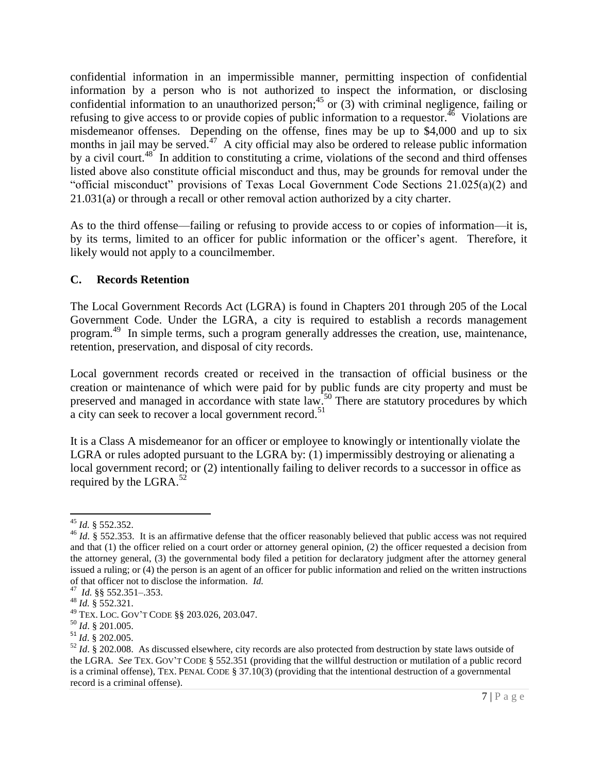confidential information in an impermissible manner, permitting inspection of confidential information by a person who is not authorized to inspect the information, or disclosing confidential information to an unauthorized person;<sup>45</sup> or  $(3)$  with criminal negligence, failing or refusing to give access to or provide copies of public information to a requestor.  $46$  Violations are misdemeanor offenses. Depending on the offense, fines may be up to \$4,000 and up to six months in jail may be served.<sup>47</sup> A city official may also be ordered to release public information by a civil court.<sup>48</sup> In addition to constituting a crime, violations of the second and third offenses listed above also constitute official misconduct and thus, may be grounds for removal under the "official misconduct" provisions of Texas Local Government Code Sections 21.025(a)(2) and 21.031(a) or through a recall or other removal action authorized by a city charter.

As to the third offense—failing or refusing to provide access to or copies of information—it is, by its terms, limited to an officer for public information or the officer's agent. Therefore, it likely would not apply to a councilmember.

## **C. Records Retention**

The Local Government Records Act (LGRA) is found in Chapters 201 through 205 of the Local Government Code. Under the LGRA, a city is required to establish a records management program.<sup>49</sup> In simple terms, such a program generally addresses the creation, use, maintenance, retention, preservation, and disposal of city records.

Local government records created or received in the transaction of official business or the creation or maintenance of which were paid for by public funds are city property and must be preserved and managed in accordance with state  $\text{law}^{\text{50}}$ . There are statutory procedures by which a city can seek to recover a local government record.<sup>51</sup>

It is a Class A misdemeanor for an officer or employee to knowingly or intentionally violate the LGRA or rules adopted pursuant to the LGRA by: (1) impermissibly destroying or alienating a local government record; or (2) intentionally failing to deliver records to a successor in office as required by the LGRA.<sup>52</sup>

 $\overline{a}$ <sup>45</sup> *Id.* § 552.352.

<sup>&</sup>lt;sup>46</sup> *Id.* § 552.353. It is an affirmative defense that the officer reasonably believed that public access was not required and that (1) the officer relied on a court order or attorney general opinion, (2) the officer requested a decision from the attorney general, (3) the governmental body filed a petition for declaratory judgment after the attorney general issued a ruling; or (4) the person is an agent of an officer for public information and relied on the written instructions of that officer not to disclose the information. *Id.* 47 *Id.* §§ 552.351–.353.

<sup>48</sup> *Id.* § 552.321.

<sup>49</sup> TEX. LOC. GOV'T CODE §§ 203.026, 203.047.

<sup>50</sup> *Id*. § 201.005.

<sup>51</sup> *Id*. § 202.005.

<sup>52</sup> *Id*. § 202.008. As discussed elsewhere, city records are also protected from destruction by state laws outside of the LGRA. *See* TEX. GOV'T CODE § 552.351 (providing that the willful destruction or mutilation of a public record is a criminal offense), TEX. PENAL CODE § 37.10(3) (providing that the intentional destruction of a governmental record is a criminal offense).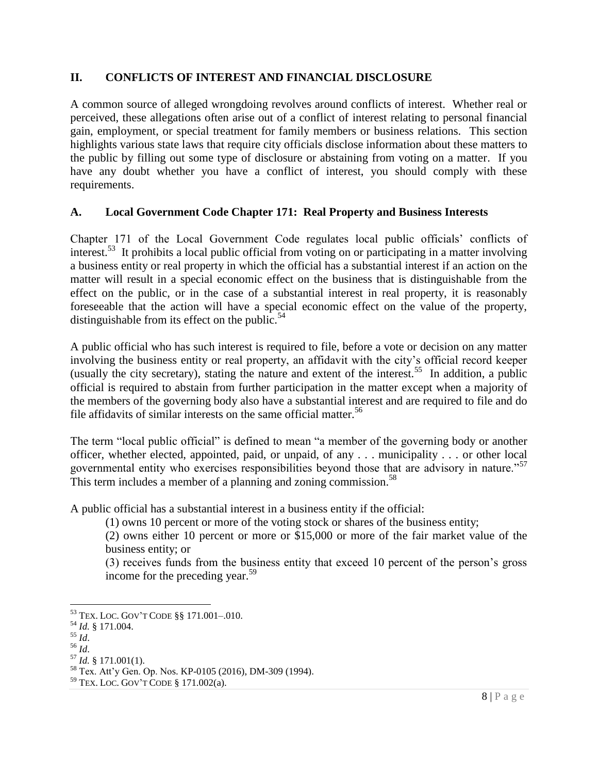## **II. CONFLICTS OF INTEREST AND FINANCIAL DISCLOSURE**

A common source of alleged wrongdoing revolves around conflicts of interest. Whether real or perceived, these allegations often arise out of a conflict of interest relating to personal financial gain, employment, or special treatment for family members or business relations. This section highlights various state laws that require city officials disclose information about these matters to the public by filling out some type of disclosure or abstaining from voting on a matter. If you have any doubt whether you have a conflict of interest, you should comply with these requirements.

## **A. Local Government Code Chapter 171: Real Property and Business Interests**

Chapter 171 of the Local Government Code regulates local public officials' conflicts of interest.<sup>53</sup> It prohibits a local public official from voting on or participating in a matter involving a business entity or real property in which the official has a substantial interest if an action on the matter will result in a special economic effect on the business that is distinguishable from the effect on the public, or in the case of a substantial interest in real property, it is reasonably foreseeable that the action will have a special economic effect on the value of the property, distinguishable from its effect on the public.<sup>54</sup>

A public official who has such interest is required to file, before a vote or decision on any matter involving the business entity or real property, an affidavit with the city's official record keeper (usually the city secretary), stating the nature and extent of the interest.<sup>55</sup> In addition, a public official is required to abstain from further participation in the matter except when a majority of the members of the governing body also have a substantial interest and are required to file and do file affidavits of similar interests on the same official matter.<sup>56</sup>

The term "local public official" is defined to mean "a member of the governing body or another officer, whether elected, appointed, paid, or unpaid, of any . . . municipality . . . or other local governmental entity who exercises responsibilities beyond those that are advisory in nature."<sup>57</sup> This term includes a member of a planning and zoning commission.<sup>58</sup>

A public official has a substantial interest in a business entity if the official:

(1) owns 10 percent or more of the voting stock or shares of the business entity;

(2) owns either 10 percent or more or \$15,000 or more of the fair market value of the business entity; or

(3) receives funds from the business entity that exceed 10 percent of the person's gross income for the preceding year.<sup>59</sup>

l

<sup>53</sup> TEX. LOC. GOV'T CODE §§ 171.001–.010.

<sup>54</sup> *Id.* § 171.004.

<sup>55</sup> *Id*.

<sup>56</sup> *Id*.

<sup>57</sup> *Id.* § 171.001(1).

<sup>58</sup> Tex. Att'y Gen. Op. Nos. KP-0105 (2016), DM-309 (1994).

<sup>59</sup> TEX. LOC. GOV'T CODE § 171.002(a).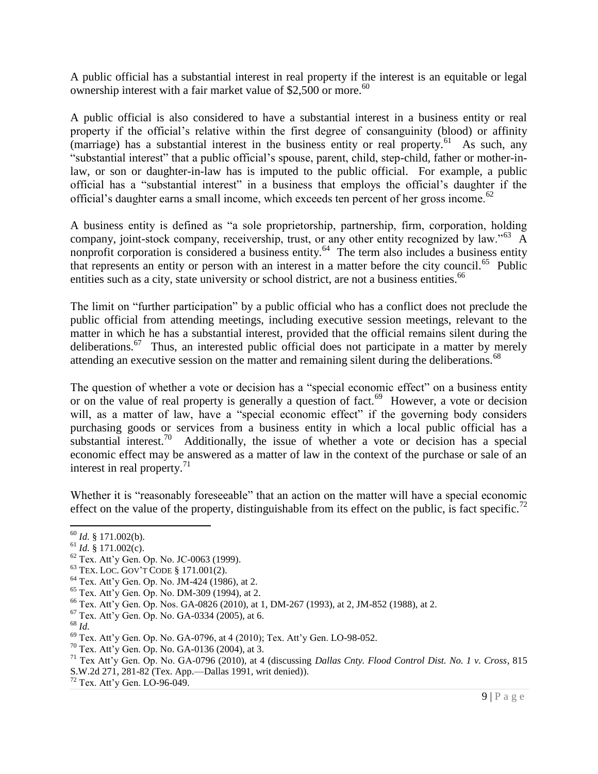A public official has a substantial interest in real property if the interest is an equitable or legal ownership interest with a fair market value of \$2,500 or more.<sup>60</sup>

A public official is also considered to have a substantial interest in a business entity or real property if the official's relative within the first degree of consanguinity (blood) or affinity (marriage) has a substantial interest in the business entity or real property.<sup>61</sup> As such, any "substantial interest" that a public official's spouse, parent, child, step-child, father or mother-inlaw, or son or daughter-in-law has is imputed to the public official. For example, a public official has a "substantial interest" in a business that employs the official's daughter if the official's daughter earns a small income, which exceeds ten percent of her gross income.<sup>62</sup>

A business entity is defined as "a sole proprietorship, partnership, firm, corporation, holding company, joint-stock company, receivership, trust, or any other entity recognized by law."<sup>63</sup> A nonprofit corporation is considered a business entity.<sup>64</sup> The term also includes a business entity that represents an entity or person with an interest in a matter before the city council.<sup>65</sup> Public entities such as a city, state university or school district, are not a business entities.<sup>66</sup>

The limit on "further participation" by a public official who has a conflict does not preclude the public official from attending meetings, including executive session meetings, relevant to the matter in which he has a substantial interest, provided that the official remains silent during the deliberations.<sup>67</sup> Thus, an interested public official does not participate in a matter by merely attending an executive session on the matter and remaining silent during the deliberations.<sup>68</sup>

The question of whether a vote or decision has a "special economic effect" on a business entity or on the value of real property is generally a question of fact.<sup>69</sup> However, a vote or decision will, as a matter of law, have a "special economic effect" if the governing body considers purchasing goods or services from a business entity in which a local public official has a substantial interest.<sup>70</sup> Additionally, the issue of whether a vote or decision has a special economic effect may be answered as a matter of law in the context of the purchase or sale of an interest in real property.<sup>71</sup>

Whether it is "reasonably foreseeable" that an action on the matter will have a special economic effect on the value of the property, distinguishable from its effect on the public, is fact specific.<sup>72</sup>

 $^{61}$  *Id.* § 171.002(c).

 $\overline{\phantom{a}}$ 

<sup>60</sup> *Id.* § 171.002(b).

<sup>62</sup> Tex. Att'y Gen. Op. No. JC-0063 (1999).

<sup>63</sup> TEX. LOC. GOV'T CODE § 171.001(2).

<sup>64</sup> Tex. Att'y Gen. Op. No. JM-424 (1986), at 2.

<sup>65</sup> Tex. Att'y Gen. Op. No. DM-309 (1994), at 2.

<sup>66</sup> Tex. Att'y Gen. Op. Nos. GA-0826 (2010), at 1, DM-267 (1993), at 2, JM-852 (1988), at 2.

<sup>67</sup> Tex. Att'y Gen. Op. No. GA-0334 (2005), at 6.

<sup>68</sup> *Id.*

<sup>69</sup> Tex. Att'y Gen. Op. No. GA-0796, at 4 (2010); Tex. Att'y Gen. LO-98-052.

<sup>70</sup> Tex. Att'y Gen. Op. No. GA-0136 (2004), at 3.

<sup>71</sup> Tex Att'y Gen. Op. No. GA-0796 (2010), at 4 (discussing *Dallas Cnty. Flood Control Dist. No. 1 v. Cross*, 815 S.W.2d 271, 281-82 (Tex. App.—Dallas 1991, writ denied)).

<sup>72</sup> Tex. Att'y Gen. LO-96-049.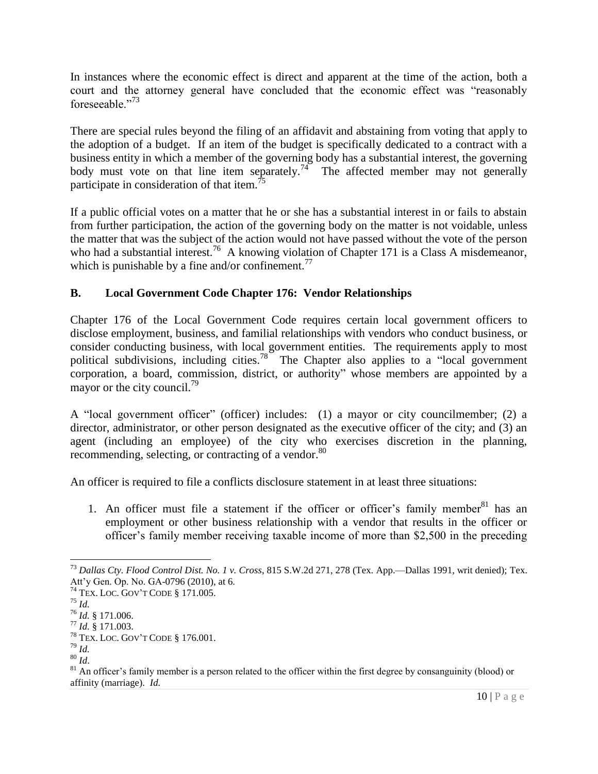In instances where the economic effect is direct and apparent at the time of the action, both a court and the attorney general have concluded that the economic effect was "reasonably foreseeable."<sup>73</sup>

There are special rules beyond the filing of an affidavit and abstaining from voting that apply to the adoption of a budget. If an item of the budget is specifically dedicated to a contract with a business entity in which a member of the governing body has a substantial interest, the governing body must vote on that line item separately.<sup>74</sup> The affected member may not generally participate in consideration of that item.<sup>75</sup>

If a public official votes on a matter that he or she has a substantial interest in or fails to abstain from further participation, the action of the governing body on the matter is not voidable, unless the matter that was the subject of the action would not have passed without the vote of the person who had a substantial interest.<sup>76</sup> A knowing violation of Chapter 171 is a Class A misdemeanor, which is punishable by a fine and/or confinement.<sup>77</sup>

# **B. Local Government Code Chapter 176: Vendor Relationships**

Chapter 176 of the Local Government Code requires certain local government officers to disclose employment, business, and familial relationships with vendors who conduct business, or consider conducting business, with local government entities. The requirements apply to most political subdivisions, including cities.<sup>78</sup> The Chapter also applies to a "local government" corporation, a board, commission, district, or authority" whose members are appointed by a mayor or the city council.<sup>79</sup>

A "local government officer" (officer) includes: (1) a mayor or city councilmember; (2) a director, administrator, or other person designated as the executive officer of the city; and (3) an agent (including an employee) of the city who exercises discretion in the planning, recommending, selecting, or contracting of a vendor. 80

An officer is required to file a conflicts disclosure statement in at least three situations:

1. An officer must file a statement if the officer or officer's family member  $81$  has an employment or other business relationship with a vendor that results in the officer or officer's family member receiving taxable income of more than \$2,500 in the preceding

 $\overline{\phantom{a}}$ <sup>73</sup> *Dallas Cty. Flood Control Dist. No. 1 v. Cross*, 815 S.W.2d 271, 278 (Tex. App.—Dallas 1991, writ denied); Tex. Att'y Gen. Op. No. GA-0796 (2010), at 6.

<sup>74</sup> TEX. LOC. GOV'T CODE § 171.005.

 $^{75}$  *Id.* 

<sup>76</sup> *Id.* § 171.006.

<sup>77</sup> *Id.* § 171.003.

<sup>78</sup> TEX. LOC. GOV'T CODE § 176.001.

<sup>79</sup> *Id.* <sup>80</sup> *Id*.

<sup>&</sup>lt;sup>81</sup> An officer's family member is a person related to the officer within the first degree by consanguinity (blood) or affinity (marriage). *Id.*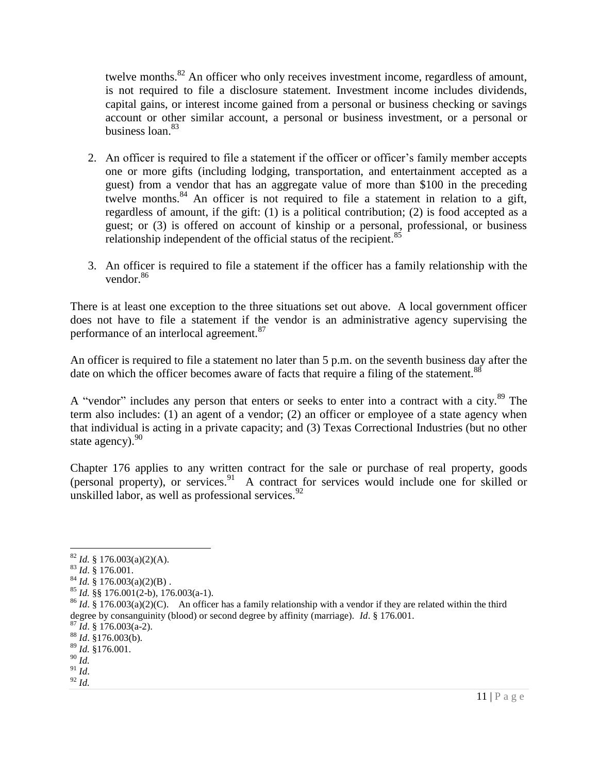twelve months.<sup>82</sup> An officer who only receives investment income, regardless of amount, is not required to file a disclosure statement. Investment income includes dividends, capital gains, or interest income gained from a personal or business checking or savings account or other similar account, a personal or business investment, or a personal or business loan.<sup>83</sup>

- 2. An officer is required to file a statement if the officer or officer's family member accepts one or more gifts (including lodging, transportation, and entertainment accepted as a guest) from a vendor that has an aggregate value of more than \$100 in the preceding twelve months.<sup>84</sup> An officer is not required to file a statement in relation to a gift, regardless of amount, if the gift: (1) is a political contribution; (2) is food accepted as a guest; or (3) is offered on account of kinship or a personal, professional, or business relationship independent of the official status of the recipient.<sup>85</sup>
- 3. An officer is required to file a statement if the officer has a family relationship with the vendor.<sup>86</sup>

There is at least one exception to the three situations set out above. A local government officer does not have to file a statement if the vendor is an administrative agency supervising the performance of an interlocal agreement.<sup>87</sup>

An officer is required to file a statement no later than 5 p.m. on the seventh business day after the date on which the officer becomes aware of facts that require a filing of the statement.<sup>88</sup>

A "vendor" includes any person that enters or seeks to enter into a contract with a city.<sup>89</sup> The term also includes: (1) an agent of a vendor; (2) an officer or employee of a state agency when that individual is acting in a private capacity; and (3) Texas Correctional Industries (but no other state agency).<sup>90</sup>

Chapter 176 applies to any written contract for the sale or purchase of real property, goods (personal property), or services.<sup>91</sup> A contract for services would include one for skilled or unskilled labor, as well as professional services.  $92$ 

- <sup>83</sup> *Id*. § 176.001.
- $^{84}$  *Id.* § 176.003(a)(2)(B).
- <sup>85</sup> *Id.* §§ 176.001(2-b), 176.003(a-1).

- <sup>87</sup> *Id*. § 176.003(a-2).
- <sup>88</sup> *Id*. §176.003(b).
- <sup>89</sup> *Id.* §176.001.

<sup>91</sup> *Id*.

<sup>92</sup> *Id.*

 $\overline{\phantom{a}}$ <sup>82</sup> *Id.* § 176.003(a)(2)(A).

<sup>&</sup>lt;sup>86</sup> *Id.* § 176.003(a)(2)(C). An officer has a family relationship with a vendor if they are related within the third degree by consanguinity (blood) or second degree by affinity (marriage). *Id*. § 176.001.

<sup>90</sup> *Id.*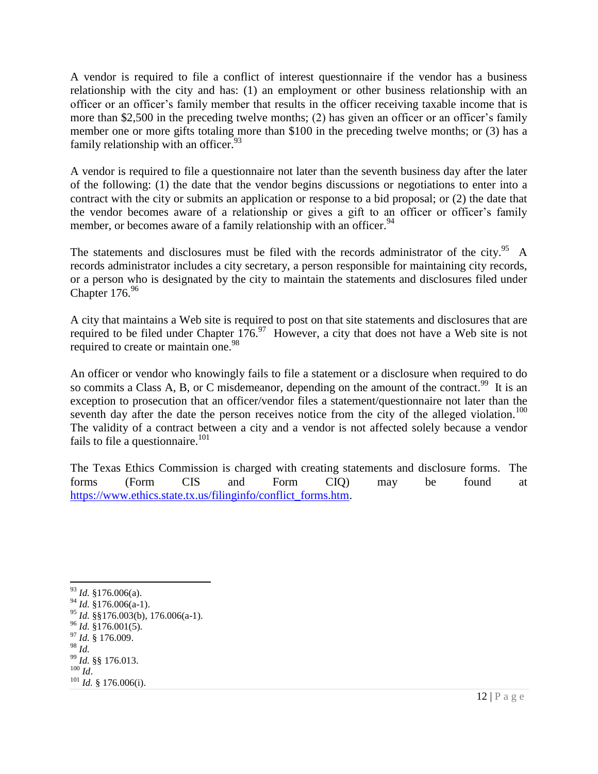A vendor is required to file a conflict of interest questionnaire if the vendor has a business relationship with the city and has: (1) an employment or other business relationship with an officer or an officer's family member that results in the officer receiving taxable income that is more than \$2,500 in the preceding twelve months; (2) has given an officer or an officer's family member one or more gifts totaling more than \$100 in the preceding twelve months; or (3) has a family relationship with an officer.<sup>93</sup>

A vendor is required to file a questionnaire not later than the seventh business day after the later of the following: (1) the date that the vendor begins discussions or negotiations to enter into a contract with the city or submits an application or response to a bid proposal; or (2) the date that the vendor becomes aware of a relationship or gives a gift to an officer or officer's family member, or becomes aware of a family relationship with an officer.<sup>94</sup>

The statements and disclosures must be filed with the records administrator of the city.<sup>95</sup> A records administrator includes a city secretary, a person responsible for maintaining city records, or a person who is designated by the city to maintain the statements and disclosures filed under Chapter 176.96

A city that maintains a Web site is required to post on that site statements and disclosures that are required to be filed under Chapter  $176$ .<sup>97</sup> However, a city that does not have a Web site is not required to create or maintain one.<sup>98</sup>

An officer or vendor who knowingly fails to file a statement or a disclosure when required to do so commits a Class A, B, or C misdemeanor, depending on the amount of the contract.<sup>99</sup> It is an exception to prosecution that an officer/vendor files a statement/questionnaire not later than the seventh day after the date the person receives notice from the city of the alleged violation.<sup>100</sup> The validity of a contract between a city and a vendor is not affected solely because a vendor fails to file a questionnaire.<sup>101</sup>

The Texas Ethics Commission is charged with creating statements and disclosure forms. The forms (Form CIS and Form CIQ) may be found at [https://www.ethics.state.tx.us/filinginfo/conflict\\_forms.htm.](https://www.ethics.state.tx.us/filinginfo/conflict_forms.htm)

 $\overline{a}$ <sup>93</sup> *Id.* §176.006(a).

 $^{94}$  *Id.* §176.006(a-1).

<sup>95</sup> *Id.* §§176.003(b), 176.006(a-1).

<sup>96</sup> *Id.* §176.001(5).

<sup>97</sup> *Id.* § 176.009.

<sup>98</sup> *Id.*

<sup>99</sup> *Id.* §§ 176.013. <sup>100</sup> *Id*.

<sup>101</sup> *Id.* § 176.006(i).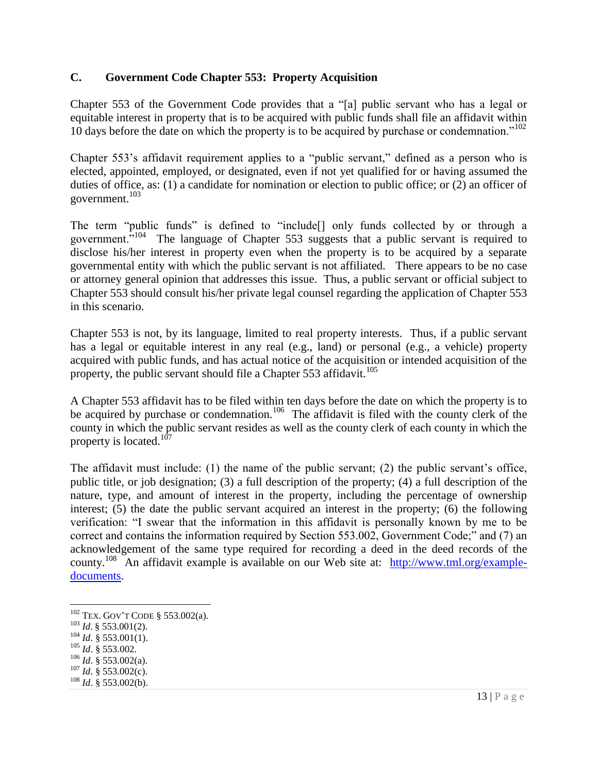## **C. Government Code Chapter 553: Property Acquisition**

Chapter 553 of the Government Code provides that a "[a] public servant who has a legal or equitable interest in property that is to be acquired with public funds shall file an affidavit within 10 days before the date on which the property is to be acquired by purchase or condemnation."<sup>102</sup>

Chapter 553's affidavit requirement applies to a "public servant," defined as a person who is elected, appointed, employed, or designated, even if not yet qualified for or having assumed the duties of office, as: (1) a candidate for nomination or election to public office; or (2) an officer of government.<sup>103</sup>

The term "public funds" is defined to "include[] only funds collected by or through a government.<sup>5104</sup> The language of Chapter 553 suggests that a public servant is required to disclose his/her interest in property even when the property is to be acquired by a separate governmental entity with which the public servant is not affiliated. There appears to be no case or attorney general opinion that addresses this issue. Thus, a public servant or official subject to Chapter 553 should consult his/her private legal counsel regarding the application of Chapter 553 in this scenario.

Chapter 553 is not, by its language, limited to real property interests. Thus, if a public servant has a legal or equitable interest in any real (e.g., land) or personal (e.g., a vehicle) property acquired with public funds, and has actual notice of the acquisition or intended acquisition of the property, the public servant should file a Chapter 553 affidavit.<sup>105</sup>

A Chapter 553 affidavit has to be filed within ten days before the date on which the property is to be acquired by purchase or condemnation.<sup>106</sup> The affidavit is filed with the county clerk of the county in which the public servant resides as well as the county clerk of each county in which the property is located.<sup>107</sup>

The affidavit must include: (1) the name of the public servant; (2) the public servant's office, public title, or job designation; (3) a full description of the property; (4) a full description of the nature, type, and amount of interest in the property, including the percentage of ownership interest; (5) the date the public servant acquired an interest in the property; (6) the following verification: "I swear that the information in this affidavit is personally known by me to be correct and contains the information required by Section 553.002, Government Code;" and (7) an acknowledgement of the same type required for recording a deed in the deed records of the county.<sup>108</sup> An affidavit example is available on our Web site at: [http://www.tml.org/example](http://www.tml.org/example-documents.)[documents.](http://www.tml.org/example-documents.)

l

 $102$  TEX. GOV'T CODE § 553.002(a).

<sup>103</sup> *Id*. § 553.001(2).

<sup>104</sup> *Id*. § 553.001(1).

<sup>105</sup> *Id*. § 553.002.

<sup>106</sup> *Id*. § 553.002(a).

<sup>107</sup> *Id*. § 553.002(c).

<sup>108</sup> *Id*. § 553.002(b).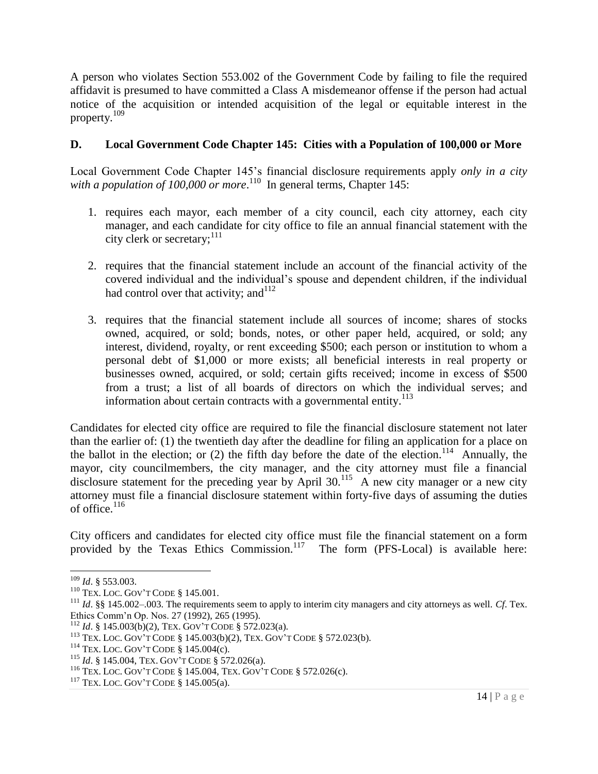A person who violates Section 553.002 of the Government Code by failing to file the required affidavit is presumed to have committed a Class A misdemeanor offense if the person had actual notice of the acquisition or intended acquisition of the legal or equitable interest in the property.<sup>109</sup>

## **D. Local Government Code Chapter 145: Cities with a Population of 100,000 or More**

Local Government Code Chapter 145's financial disclosure requirements apply *only in a city*  with a population of 100,000 or more.<sup>110</sup> In general terms, Chapter 145:

- 1. requires each mayor, each member of a city council, each city attorney, each city manager, and each candidate for city office to file an annual financial statement with the city clerk or secretary;<sup>111</sup>
- 2. requires that the financial statement include an account of the financial activity of the covered individual and the individual's spouse and dependent children, if the individual had control over that activity; and  $112$
- 3. requires that the financial statement include all sources of income; shares of stocks owned, acquired, or sold; bonds, notes, or other paper held, acquired, or sold; any interest, dividend, royalty, or rent exceeding \$500; each person or institution to whom a personal debt of \$1,000 or more exists; all beneficial interests in real property or businesses owned, acquired, or sold; certain gifts received; income in excess of \$500 from a trust; a list of all boards of directors on which the individual serves; and information about certain contracts with a governmental entity.<sup>113</sup>

Candidates for elected city office are required to file the financial disclosure statement not later than the earlier of: (1) the twentieth day after the deadline for filing an application for a place on the ballot in the election; or  $(2)$  the fifth day before the date of the election.<sup>114</sup> Annually, the mayor, city councilmembers, the city manager, and the city attorney must file a financial disclosure statement for the preceding year by April  $30<sup>115</sup>$  A new city manager or a new city attorney must file a financial disclosure statement within forty-five days of assuming the duties of office. $116$ 

City officers and candidates for elected city office must file the financial statement on a form provided by the Texas Ethics Commission.<sup>117</sup> The form (PFS-Local) is available here:

l

<sup>109</sup> *Id*. § 553.003.

<sup>&</sup>lt;sup>110</sup> TEX. LOC. GOV'T CODE § 145.001.

<sup>111</sup> *Id*. §§ 145.002–.003. The requirements seem to apply to interim city managers and city attorneys as well. *Cf*. Tex. Ethics Comm'n Op. Nos. 27 (1992), 265 (1995).

<sup>112</sup> *Id*. § 145.003(b)(2), TEX. GOV'T CODE § 572.023(a).

<sup>113</sup> TEX. LOC. GOV'T CODE § 145.003(b)(2), TEX. GOV'T CODE § 572.023(b).

<sup>114</sup> TEX. LOC. GOV'T CODE § 145.004(c).

<sup>115</sup> *Id*. § 145.004, TEX. GOV'T CODE § 572.026(a).

<sup>116</sup> TEX. LOC. GOV'T CODE § 145.004, TEX. GOV'T CODE § 572.026(c).

<sup>&</sup>lt;sup>117</sup> TEX. LOC. GOV'T CODE  $\S$  145.005(a).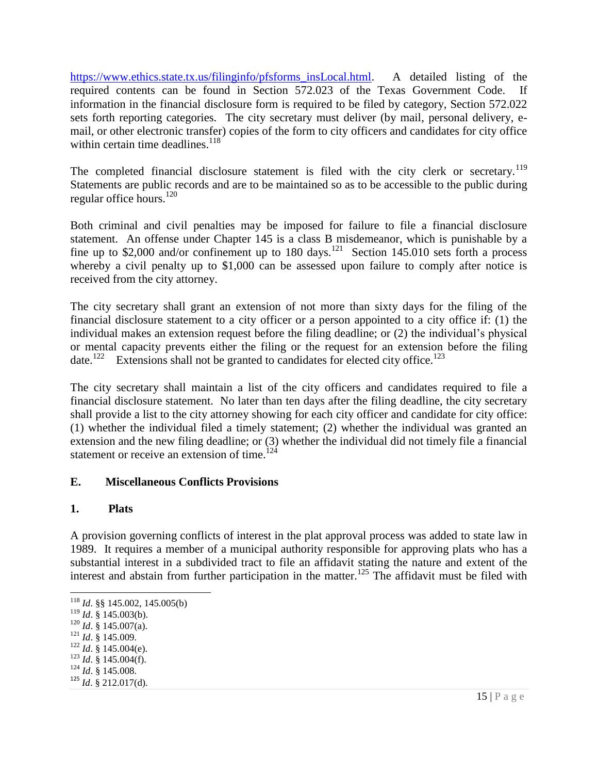[https://www.ethics.state.tx.us/filinginfo/pfsforms\\_insLocal.html.](https://www.ethics.state.tx.us/filinginfo/pfsforms_insLocal.html) A detailed listing of the required contents can be found in Section 572.023 of the Texas Government Code. If information in the financial disclosure form is required to be filed by category, Section 572.022 sets forth reporting categories. The city secretary must deliver (by mail, personal delivery, email, or other electronic transfer) copies of the form to city officers and candidates for city office within certain time deadlines.<sup>118</sup>

The completed financial disclosure statement is filed with the city clerk or secretary.<sup>119</sup> Statements are public records and are to be maintained so as to be accessible to the public during regular office hours. 120

Both criminal and civil penalties may be imposed for failure to file a financial disclosure statement. An offense under Chapter 145 is a class B misdemeanor, which is punishable by a fine up to \$2,000 and/or confinement up to  $180 \text{ days}$ .<sup>121</sup> Section  $145.010$  sets forth a process whereby a civil penalty up to \$1,000 can be assessed upon failure to comply after notice is received from the city attorney.

The city secretary shall grant an extension of not more than sixty days for the filing of the financial disclosure statement to a city officer or a person appointed to a city office if: (1) the individual makes an extension request before the filing deadline; or (2) the individual's physical or mental capacity prevents either the filing or the request for an extension before the filing date.<sup>122</sup> Extensions shall not be granted to candidates for elected city office.<sup>123</sup>

The city secretary shall maintain a list of the city officers and candidates required to file a financial disclosure statement. No later than ten days after the filing deadline, the city secretary shall provide a list to the city attorney showing for each city officer and candidate for city office: (1) whether the individual filed a timely statement; (2) whether the individual was granted an extension and the new filing deadline; or (3) whether the individual did not timely file a financial statement or receive an extension of time.<sup>124</sup>

# **E. Miscellaneous Conflicts Provisions**

# **1. Plats**

A provision governing conflicts of interest in the plat approval process was added to state law in 1989. It requires a member of a municipal authority responsible for approving plats who has a substantial interest in a subdivided tract to file an affidavit stating the nature and extent of the interest and abstain from further participation in the matter.<sup>125</sup> The affidavit must be filed with

- <sup>121</sup> *Id*. § 145.009.
- <sup>122</sup> *Id*. § 145.004(e).
- <sup>123</sup> *Id*. § 145.004(f).
- <sup>124</sup> *Id*. § 145.008.
- <sup>125</sup> *Id*. § 212.017(d).

 $\overline{\phantom{a}}$ <sup>118</sup> *Id*. §§ 145.002, 145.005(b)

<sup>119</sup> *Id*. § 145.003(b).

 $120$  *Id.* § 145.007(a).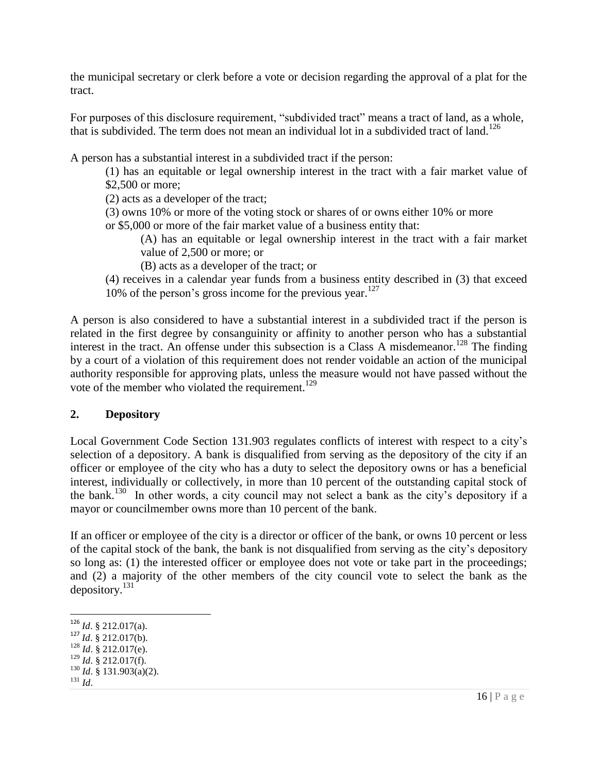the municipal secretary or clerk before a vote or decision regarding the approval of a plat for the tract.

For purposes of this disclosure requirement, "subdivided tract" means a tract of land, as a whole, that is subdivided. The term does not mean an individual lot in a subdivided tract of land.<sup>126</sup>

A person has a substantial interest in a subdivided tract if the person:

(1) has an equitable or legal ownership interest in the tract with a fair market value of \$2,500 or more;

(2) acts as a developer of the tract;

(3) owns 10% or more of the voting stock or shares of or owns either 10% or more

or \$5,000 or more of the fair market value of a business entity that:

(A) has an equitable or legal ownership interest in the tract with a fair market value of 2,500 or more; or

- (B) acts as a developer of the tract; or
- (4) receives in a calendar year funds from a business entity described in (3) that exceed 10% of the person's gross income for the previous year.<sup>127</sup>

A person is also considered to have a substantial interest in a subdivided tract if the person is related in the first degree by consanguinity or affinity to another person who has a substantial interest in the tract. An offense under this subsection is a Class A misdemeanor.<sup>128</sup> The finding by a court of a violation of this requirement does not render voidable an action of the municipal authority responsible for approving plats, unless the measure would not have passed without the vote of the member who violated the requirement. 129

# **2. Depository**

Local Government Code Section 131.903 regulates conflicts of interest with respect to a city's selection of a depository. A bank is disqualified from serving as the depository of the city if an officer or employee of the city who has a duty to select the depository owns or has a beneficial interest, individually or collectively, in more than 10 percent of the outstanding capital stock of the bank.<sup>130</sup> In other words, a city council may not select a bank as the city's depository if a mayor or councilmember owns more than 10 percent of the bank.

If an officer or employee of the city is a director or officer of the bank, or owns 10 percent or less of the capital stock of the bank, the bank is not disqualified from serving as the city's depository so long as: (1) the interested officer or employee does not vote or take part in the proceedings; and (2) a majority of the other members of the city council vote to select the bank as the depository.<sup>131</sup>

<sup>128</sup> *Id*. § 212.017(e).

<sup>130</sup> *Id*. § 131.903(a)(2).

 $131$  *Id.* 

 $\overline{a}$ <sup>126</sup> *Id*. § 212.017(a).

<sup>127</sup> *Id*. § 212.017(b).

<sup>129</sup> *Id*. § 212.017(f).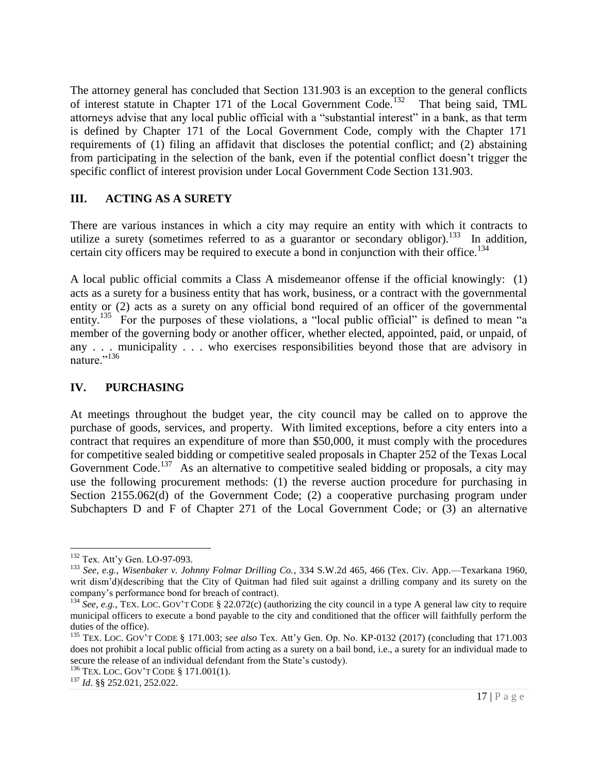The attorney general has concluded that Section 131.903 is an exception to the general conflicts of interest statute in Chapter 171 of the Local Government Code.<sup>132</sup> That being said, TML attorneys advise that any local public official with a "substantial interest" in a bank, as that term is defined by Chapter 171 of the Local Government Code, comply with the Chapter 171 requirements of (1) filing an affidavit that discloses the potential conflict; and (2) abstaining from participating in the selection of the bank, even if the potential conflict doesn't trigger the specific conflict of interest provision under Local Government Code Section 131.903.

## **III. ACTING AS A SURETY**

There are various instances in which a city may require an entity with which it contracts to utilize a surety (sometimes referred to as a guarantor or secondary obligor).<sup>133</sup> In addition, certain city officers may be required to execute a bond in conjunction with their office.<sup>134</sup>

A local public official commits a Class A misdemeanor offense if the official knowingly: (1) acts as a surety for a business entity that has work, business, or a contract with the governmental entity or (2) acts as a surety on any official bond required of an officer of the governmental entity.<sup>135</sup> For the purposes of these violations, a "local public official" is defined to mean "a member of the governing body or another officer, whether elected, appointed, paid, or unpaid, of any . . . municipality . . . who exercises responsibilities beyond those that are advisory in nature."<sup>136</sup>

## **IV. PURCHASING**

At meetings throughout the budget year, the city council may be called on to approve the purchase of goods, services, and property. With limited exceptions, before a city enters into a contract that requires an expenditure of more than \$50,000, it must comply with the procedures for competitive sealed bidding or competitive sealed proposals in Chapter 252 of the Texas Local Government Code.<sup>137</sup> As an alternative to competitive sealed bidding or proposals, a city may use the following procurement methods: (1) the reverse auction procedure for purchasing in Section 2155.062(d) of the Government Code; (2) a cooperative purchasing program under Subchapters D and F of Chapter 271 of the Local Government Code; or (3) an alternative

 $\overline{\phantom{a}}$ <sup>132</sup> Tex. Att'y Gen. LO-97-093.

<sup>133</sup> *See, e.g., Wisenbaker v. Johnny Folmar Drilling Co.*, 334 S.W.2d 465, 466 (Tex. Civ. App.—Texarkana 1960, writ dism'd)(describing that the City of Quitman had filed suit against a drilling company and its surety on the company's performance bond for breach of contract).

<sup>&</sup>lt;sup>134</sup> *See, e.g., TEX. LOC. GOV'T CODE* § 22.072(c) (authorizing the city council in a type A general law city to require municipal officers to execute a bond payable to the city and conditioned that the officer will faithfully perform the duties of the office).

<sup>135</sup> TEX. LOC. GOV'T CODE § 171.003; *see also* Tex. Att'y Gen. Op. No. KP-0132 (2017) (concluding that 171.003 does not prohibit a local public official from acting as a surety on a bail bond, i.e., a surety for an individual made to secure the release of an individual defendant from the State's custody).

<sup>&</sup>lt;sup>136</sup> TEX. LOC. GOV'T CODE § 171.001(1).

<sup>137</sup> *Id*. §§ 252.021, 252.022.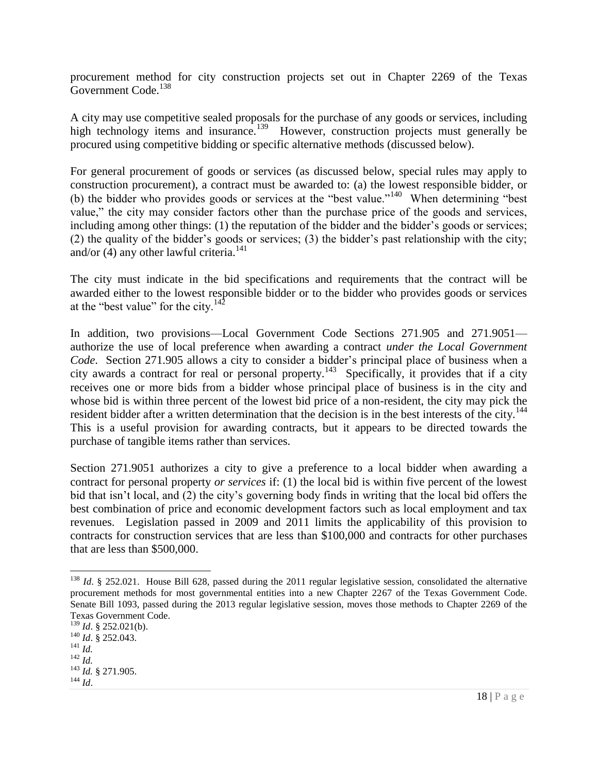procurement method for city construction projects set out in Chapter 2269 of the Texas Government Code.<sup>138</sup>

A city may use competitive sealed proposals for the purchase of any goods or services, including high technology items and insurance.<sup>139</sup> However, construction projects must generally be procured using competitive bidding or specific alternative methods (discussed below).

For general procurement of goods or services (as discussed below, special rules may apply to construction procurement), a contract must be awarded to: (a) the lowest responsible bidder, or (b) the bidder who provides goods or services at the "best value."<sup>140</sup> When determining "best value," the city may consider factors other than the purchase price of the goods and services, including among other things: (1) the reputation of the bidder and the bidder's goods or services; (2) the quality of the bidder's goods or services; (3) the bidder's past relationship with the city; and/or  $(4)$  any other lawful criteria.<sup>141</sup>

The city must indicate in the bid specifications and requirements that the contract will be awarded either to the lowest responsible bidder or to the bidder who provides goods or services at the "best value" for the city.<sup>142</sup>

In addition, two provisions—Local Government Code Sections 271.905 and 271.9051 authorize the use of local preference when awarding a contract *under the Local Government Code*. Section 271.905 allows a city to consider a bidder's principal place of business when a city awards a contract for real or personal property.<sup>143</sup> Specifically, it provides that if a city receives one or more bids from a bidder whose principal place of business is in the city and whose bid is within three percent of the lowest bid price of a non-resident, the city may pick the resident bidder after a written determination that the decision is in the best interests of the city.<sup>144</sup> This is a useful provision for awarding contracts, but it appears to be directed towards the purchase of tangible items rather than services.

Section 271.9051 authorizes a city to give a preference to a local bidder when awarding a contract for personal property *or services* if: (1) the local bid is within five percent of the lowest bid that isn't local, and (2) the city's governing body finds in writing that the local bid offers the best combination of price and economic development factors such as local employment and tax revenues. Legislation passed in 2009 and 2011 limits the applicability of this provision to contracts for construction services that are less than \$100,000 and contracts for other purchases that are less than \$500,000.

l

<sup>&</sup>lt;sup>138</sup> *Id.* § 252.021. House Bill 628, passed during the 2011 regular legislative session, consolidated the alternative procurement methods for most governmental entities into a new Chapter 2267 of the Texas Government Code. Senate Bill 1093, passed during the 2013 regular legislative session, moves those methods to Chapter 2269 of the Texas Government Code.

<sup>139</sup> *Id*. § 252.021(b).

<sup>140</sup> *Id*. § 252.043.

<sup>141</sup> *Id.*

 $^{142}$  *Id.* <sup>143</sup> *Id.* § 271.905.

<sup>144</sup> *Id*.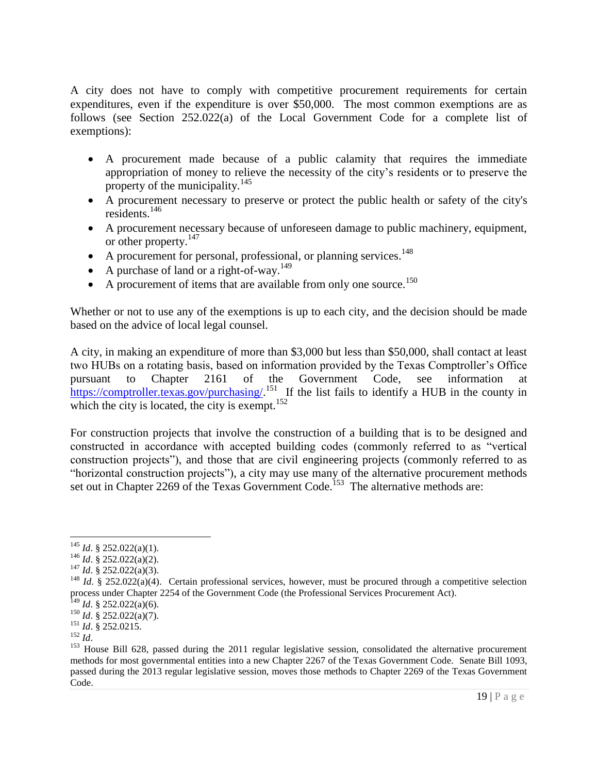A city does not have to comply with competitive procurement requirements for certain expenditures, even if the expenditure is over \$50,000. The most common exemptions are as follows (see Section 252.022(a) of the Local Government Code for a complete list of exemptions):

- A procurement made because of a public calamity that requires the immediate appropriation of money to relieve the necessity of the city's residents or to preserve the property of the municipality.<sup>145</sup>
- A procurement necessary to preserve or protect the public health or safety of the city's residents.<sup>146</sup>
- A procurement necessary because of unforeseen damage to public machinery, equipment, or other property.<sup>147</sup>
- A procurement for personal, professional, or planning services.<sup>148</sup>
- A purchase of land or a right-of-way.<sup>149</sup>
- A procurement of items that are available from only one source.<sup>150</sup>

Whether or not to use any of the exemptions is up to each city, and the decision should be made based on the advice of local legal counsel.

A city, in making an expenditure of more than \$3,000 but less than \$50,000, shall contact at least two HUBs on a rotating basis, based on information provided by the Texas Comptroller's Office pursuant to Chapter 2161 of the Government Code, see information at [https://comptroller.texas.gov/purchasing/.](https://comptroller.texas.gov/purchasing/)<sup>151</sup> If the list fails to identify a HUB in the county in which the city is located, the city is exempt. $152$ 

For construction projects that involve the construction of a building that is to be designed and constructed in accordance with accepted building codes (commonly referred to as "vertical construction projects"), and those that are civil engineering projects (commonly referred to as "horizontal construction projects"), a city may use many of the alternative procurement methods set out in Chapter 2269 of the Texas Government Code.<sup>153</sup> The alternative methods are:

 $\overline{a}$ <sup>145</sup> *Id*. § 252.022(a)(1).

<sup>146</sup> *Id*. § 252.022(a)(2).

 $^{147}$  *Id.* § 252.022(a)(3).

<sup>&</sup>lt;sup>148</sup> *Id.* § 252.022(a)(4). Certain professional services, however, must be procured through a competitive selection process under Chapter 2254 of the Government Code (the Professional Services Procurement Act).

<sup>149</sup> *Id*. § 252.022(a)(6).

<sup>150</sup> *Id*. § 252.022(a)(7).

<sup>151</sup> *Id*. § 252.0215.

<sup>152</sup> *Id*.

<sup>&</sup>lt;sup>153</sup> House Bill 628, passed during the 2011 regular legislative session, consolidated the alternative procurement methods for most governmental entities into a new Chapter 2267 of the Texas Government Code. Senate Bill 1093, passed during the 2013 regular legislative session, moves those methods to Chapter 2269 of the Texas Government Code.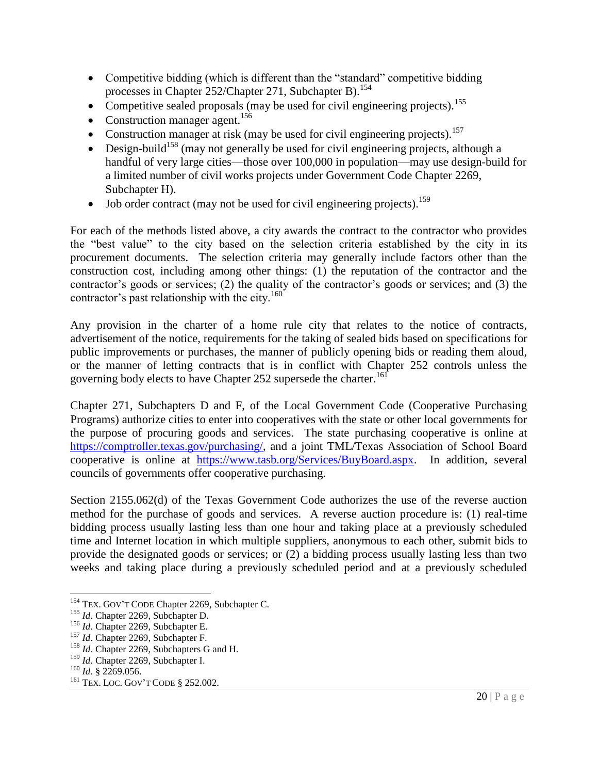- Competitive bidding (which is different than the "standard" competitive bidding processes in Chapter 252/Chapter 271, Subchapter B).<sup>154</sup>
- Competitive sealed proposals (may be used for civil engineering projects).<sup>155</sup>
- Construction manager agent.<sup>156</sup>
- Construction manager at risk (may be used for civil engineering projects).<sup>157</sup>
- $\bullet$  Design-build<sup>158</sup> (may not generally be used for civil engineering projects, although a handful of very large cities—those over 100,000 in population—may use design-build for a limited number of civil works projects under Government Code Chapter 2269, Subchapter H).
- Job order contract (may not be used for civil engineering projects).<sup>159</sup>

For each of the methods listed above, a city awards the contract to the contractor who provides the "best value" to the city based on the selection criteria established by the city in its procurement documents. The selection criteria may generally include factors other than the construction cost, including among other things: (1) the reputation of the contractor and the contractor's goods or services; (2) the quality of the contractor's goods or services; and (3) the contractor's past relationship with the city.<sup>160</sup>

Any provision in the charter of a home rule city that relates to the notice of contracts, advertisement of the notice, requirements for the taking of sealed bids based on specifications for public improvements or purchases, the manner of publicly opening bids or reading them aloud, or the manner of letting contracts that is in conflict with Chapter 252 controls unless the governing body elects to have Chapter 252 supersede the charter.<sup>161</sup>

Chapter 271, Subchapters D and F, of the Local Government Code (Cooperative Purchasing Programs) authorize cities to enter into cooperatives with the state or other local governments for the purpose of procuring goods and services. The state purchasing cooperative is online at [https://comptroller.texas.gov/purchasing/,](https://comptroller.texas.gov/purchasing/) and a joint TML/Texas Association of School Board cooperative is online at [https://www.tasb.org/Services/BuyBoard.aspx.](https://www.tasb.org/Services/BuyBoard.aspx) In addition, several councils of governments offer cooperative purchasing.

Section 2155.062(d) of the Texas Government Code authorizes the use of the reverse auction method for the purchase of goods and services. A reverse auction procedure is: (1) real-time bidding process usually lasting less than one hour and taking place at a previously scheduled time and Internet location in which multiple suppliers, anonymous to each other, submit bids to provide the designated goods or services; or (2) a bidding process usually lasting less than two weeks and taking place during a previously scheduled period and at a previously scheduled

 $\overline{\phantom{a}}$ <sup>154</sup> TEX. GOV'T CODE Chapter 2269, Subchapter C.

<sup>155</sup> *Id*. Chapter 2269, Subchapter D.

<sup>&</sup>lt;sup>156</sup> *Id*. Chapter 2269, Subchapter E.

<sup>157</sup> *Id*. Chapter 2269, Subchapter F.

<sup>&</sup>lt;sup>158</sup> *Id*. Chapter 2269, Subchapters G and H.

<sup>&</sup>lt;sup>159</sup> *Id*. Chapter 2269, Subchapter I.

<sup>160</sup> *Id*. § 2269.056.

<sup>&</sup>lt;sup>161</sup> TEX. LOC. GOV'T CODE § 252.002.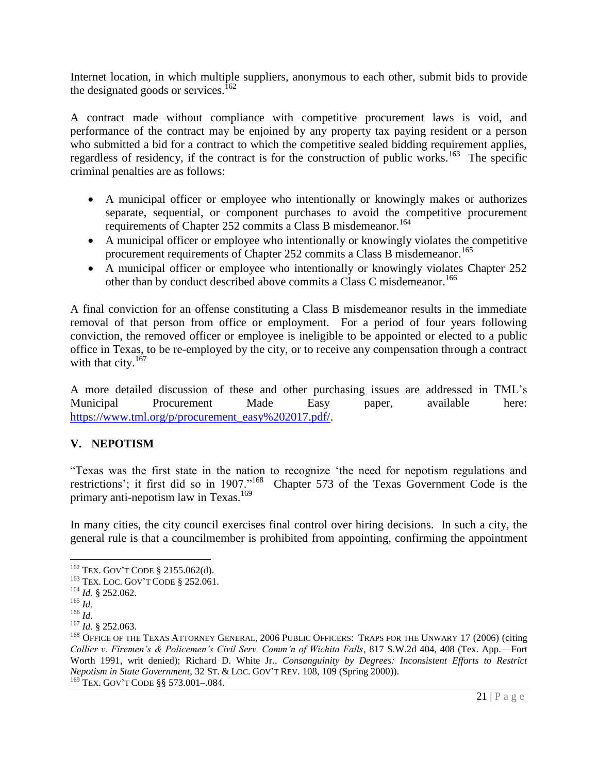Internet location, in which multiple suppliers, anonymous to each other, submit bids to provide the designated goods or services.<sup>162</sup>

A contract made without compliance with competitive procurement laws is void, and performance of the contract may be enjoined by any property tax paying resident or a person who submitted a bid for a contract to which the competitive sealed bidding requirement applies, regardless of residency, if the contract is for the construction of public works.<sup>163</sup> The specific criminal penalties are as follows:

- A municipal officer or employee who intentionally or knowingly makes or authorizes separate, sequential, or component purchases to avoid the competitive procurement requirements of Chapter 252 commits a Class B misdemeanor.<sup>164</sup>
- A municipal officer or employee who intentionally or knowingly violates the competitive procurement requirements of Chapter 252 commits a Class B misdemeanor.<sup>165</sup>
- A municipal officer or employee who intentionally or knowingly violates Chapter 252 other than by conduct described above commits a Class C misdemeanor.<sup>166</sup>

A final conviction for an offense constituting a Class B misdemeanor results in the immediate removal of that person from office or employment. For a period of four years following conviction, the removed officer or employee is ineligible to be appointed or elected to a public office in Texas, to be re-employed by the city, or to receive any compensation through a contract with that city.<sup>167</sup>

A more detailed discussion of these and other purchasing issues are addressed in TML's Municipal Procurement Made Easy paper, available here: [https://www.tml.org/p/procurement\\_easy%202017.pdf/.](https://www.tml.org/p/procurement_easy%202017.pdf/)

# **V. NEPOTISM**

"Texas was the first state in the nation to recognize 'the need for nepotism regulations and restrictions'; it first did so in 1907."<sup>168</sup> Chapter 573 of the Texas Government Code is the primary anti-nepotism law in Texas.<sup>169</sup>

In many cities, the city council exercises final control over hiring decisions. In such a city, the general rule is that a councilmember is prohibited from appointing, confirming the appointment

 $\overline{\phantom{a}}$ 

 $169$ <sup>T</sup>EX. GOV'T CODE §§ 573.001-.084.

<sup>&</sup>lt;sup>162</sup> TEX. GOV'T CODE § 2155.062(d).

<sup>163</sup> TEX. LOC. GOV'T CODE § 252.061.

<sup>164</sup> *Id.* § 252.062.

<sup>165</sup> *Id.*

<sup>166</sup> *Id.*

<sup>167</sup> *Id.* § 252.063.

<sup>&</sup>lt;sup>168</sup> OFFICE OF THE TEXAS ATTORNEY GENERAL, 2006 PUBLIC OFFICERS: TRAPS FOR THE UNWARY 17 (2006) (citing *Collier v. Firemen's & Policemen's Civil Serv. Comm'n of Wichita Falls*, 817 S.W.2d 404, 408 (Tex. App.—Fort Worth 1991, writ denied); Richard D. White Jr., *Consanguinity by Degrees: Inconsistent Efforts to Restrict Nepotism in State Government*, 32 ST. & LOC. GOV'T REV. 108, 109 (Spring 2000)).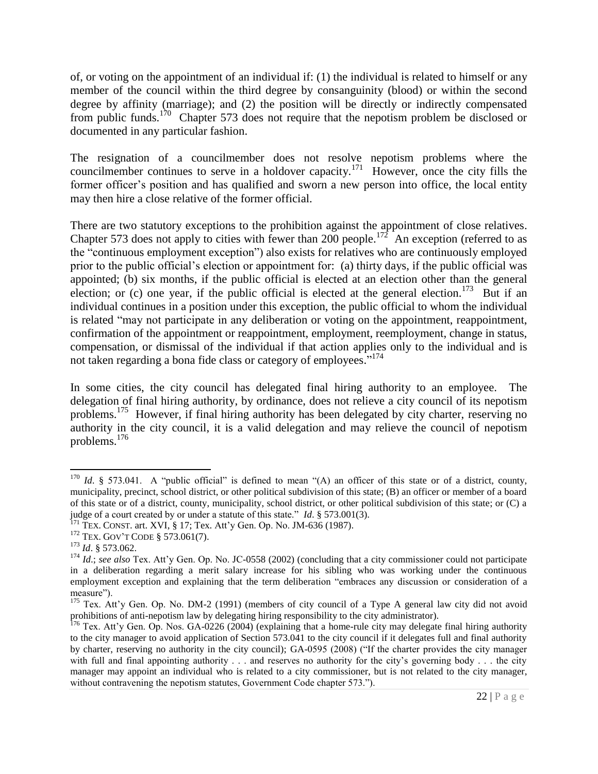of, or voting on the appointment of an individual if: (1) the individual is related to himself or any member of the council within the third degree by consanguinity (blood) or within the second degree by affinity (marriage); and (2) the position will be directly or indirectly compensated from public funds.<sup>170</sup> Chapter 573 does not require that the nepotism problem be disclosed or documented in any particular fashion.

The resignation of a councilmember does not resolve nepotism problems where the councilmember continues to serve in a holdover capacity.<sup>171</sup> However, once the city fills the former officer's position and has qualified and sworn a new person into office, the local entity may then hire a close relative of the former official.

There are two statutory exceptions to the prohibition against the appointment of close relatives. Chapter 573 does not apply to cities with fewer than 200 people.<sup>172</sup> An exception (referred to as the "continuous employment exception") also exists for relatives who are continuously employed prior to the public official's election or appointment for: (a) thirty days, if the public official was appointed; (b) six months, if the public official is elected at an election other than the general election; or (c) one year, if the public official is elected at the general election.<sup>173</sup> But if an individual continues in a position under this exception, the public official to whom the individual is related "may not participate in any deliberation or voting on the appointment, reappointment, confirmation of the appointment or reappointment, employment, reemployment, change in status, compensation, or dismissal of the individual if that action applies only to the individual and is not taken regarding a bona fide class or category of employees."<sup>174</sup>

In some cities, the city council has delegated final hiring authority to an employee. The delegation of final hiring authority, by ordinance, does not relieve a city council of its nepotism problems.<sup>175</sup> However, if final hiring authority has been delegated by city charter, reserving no authority in the city council, it is a valid delegation and may relieve the council of nepotism problems.<sup>176</sup>

 $\overline{a}$ 

<sup>&</sup>lt;sup>170</sup> *Id.* § 573.041. A "public official" is defined to mean "(A) an officer of this state or of a district, county, municipality, precinct, school district, or other political subdivision of this state; (B) an officer or member of a board of this state or of a district, county, municipality, school district, or other political subdivision of this state; or (C) a judge of a court created by or under a statute of this state." *Id*. § 573.001(3).

 $171$  TEX. CONST. art. XVI, § 17; Tex. Att'y Gen. Op. No. JM-636 (1987).

<sup>172</sup> TEX. GOV'T CODE § 573.061(7).

<sup>173</sup> *Id*. § 573.062.

<sup>174</sup> *Id*.; *see also* Tex. Att'y Gen. Op. No. JC-0558 (2002) (concluding that a city commissioner could not participate in a deliberation regarding a merit salary increase for his sibling who was working under the continuous employment exception and explaining that the term deliberation "embraces any discussion or consideration of a measure").

 $175$  Tex. Att'y Gen. Op. No. DM-2 (1991) (members of city council of a Type A general law city did not avoid prohibitions of anti-nepotism law by delegating hiring responsibility to the city administrator).

 $176$  Tex. Att'y Gen. Op. Nos. GA-0226 (2004) (explaining that a home-rule city may delegate final hiring authority to the city manager to avoid application of Section 573.041 to the city council if it delegates full and final authority by charter, reserving no authority in the city council); GA-0595 (2008) ("If the charter provides the city manager with full and final appointing authority . . . and reserves no authority for the city's governing body . . . the city manager may appoint an individual who is related to a city commissioner, but is not related to the city manager, without contravening the nepotism statutes, Government Code chapter 573.").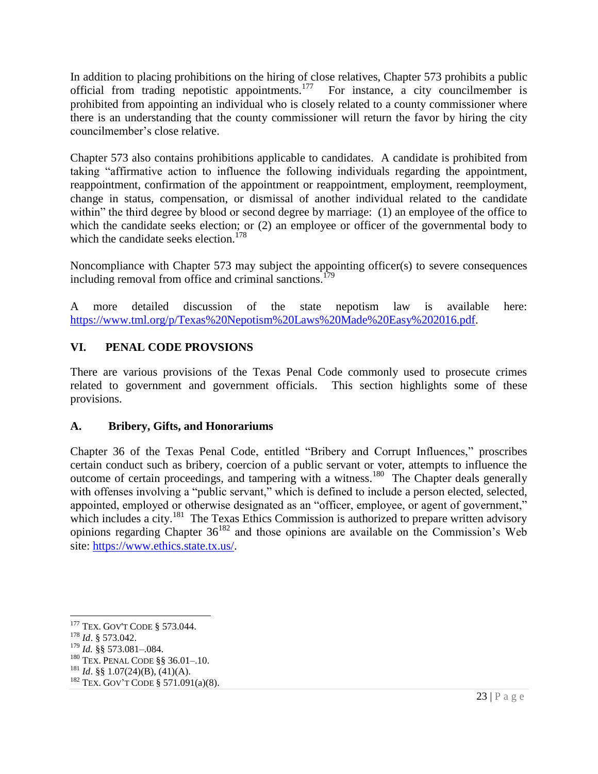In addition to placing prohibitions on the hiring of close relatives, Chapter 573 prohibits a public official from trading nepotistic appointments.<sup>177</sup> For instance, a city councilmember is official from trading nepotistic appointments.<sup>177</sup> prohibited from appointing an individual who is closely related to a county commissioner where there is an understanding that the county commissioner will return the favor by hiring the city councilmember's close relative.

Chapter 573 also contains prohibitions applicable to candidates. A candidate is prohibited from taking "affirmative action to influence the following individuals regarding the appointment, reappointment, confirmation of the appointment or reappointment, employment, reemployment, change in status, compensation, or dismissal of another individual related to the candidate within" the third degree by blood or second degree by marriage: (1) an employee of the office to which the candidate seeks election; or (2) an employee or officer of the governmental body to which the candidate seeks election.<sup>178</sup>

Noncompliance with Chapter 573 may subject the appointing officer(s) to severe consequences including removal from office and criminal sanctions.<sup>1</sup>

A more detailed discussion of the state nepotism law is available here: [https://www.tml.org/p/Texas%20Nepotism%20Laws%20Made%20Easy%202016.pdf.](https://www.tml.org/p/Texas%20Nepotism%20Laws%20Made%20Easy%202016.pdf)

# **VI. PENAL CODE PROVSIONS**

There are various provisions of the Texas Penal Code commonly used to prosecute crimes related to government and government officials. This section highlights some of these provisions.

# **A. Bribery, Gifts, and Honorariums**

Chapter 36 of the Texas Penal Code, entitled "Bribery and Corrupt Influences," proscribes certain conduct such as bribery, coercion of a public servant or voter, attempts to influence the outcome of certain proceedings, and tampering with a witness.<sup>180</sup> The Chapter deals generally with offenses involving a "public servant," which is defined to include a person elected, selected, appointed, employed or otherwise designated as an "officer, employee, or agent of government," which includes a city.<sup>181</sup> The Texas Ethics Commission is authorized to prepare written advisory opinions regarding Chapter  $36^{182}$  and those opinions are available on the Commission's Web site: [https://www.ethics.state.tx.us/.](https://www.ethics.state.tx.us/)

 $\overline{a}$ <sup>177</sup> TEX. GOV'T CODE § 573.044.

<sup>178</sup> *Id*. § 573.042.

<sup>179</sup> *Id.* §§ 573.081–.084.

<sup>180</sup> TEX. PENAL CODE §§ 36.01–.10.

 $181$  *Id.* §§ 1.07(24)(B), (41)(A).

<sup>&</sup>lt;sup>182</sup> TEX. GOV'T CODE § 571.091(a)(8).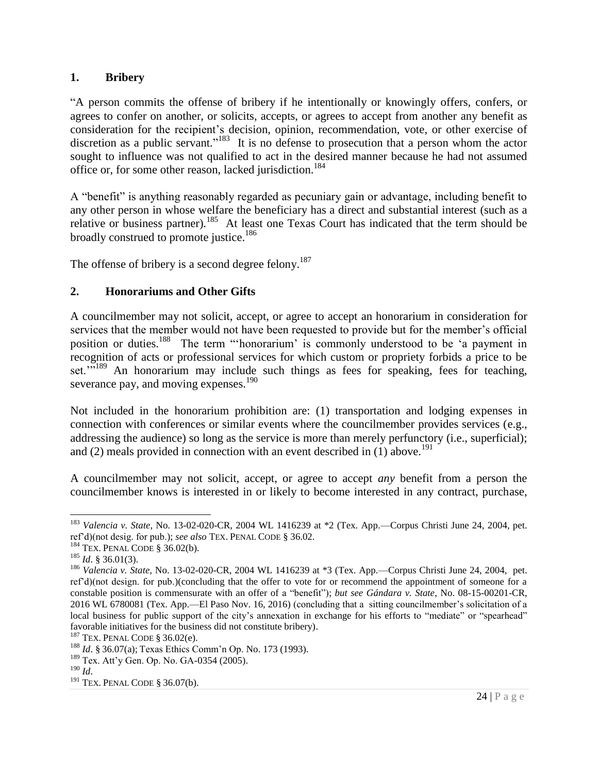#### **1. Bribery**

"A person commits the offense of bribery if he intentionally or knowingly offers, confers, or agrees to confer on another, or solicits, accepts, or agrees to accept from another any benefit as consideration for the recipient's decision, opinion, recommendation, vote, or other exercise of discretion as a public servant."<sup>183</sup> It is no defense to prosecution that a person whom the actor sought to influence was not qualified to act in the desired manner because he had not assumed office or, for some other reason, lacked jurisdiction.<sup>184</sup>

A "benefit" is anything reasonably regarded as pecuniary gain or advantage, including benefit to any other person in whose welfare the beneficiary has a direct and substantial interest (such as a relative or business partner).<sup>185</sup> At least one Texas Court has indicated that the term should be broadly construed to promote justice.<sup>186</sup>

The offense of bribery is a second degree felony.<sup>187</sup>

#### **2. Honorariums and Other Gifts**

A councilmember may not solicit, accept, or agree to accept an honorarium in consideration for services that the member would not have been requested to provide but for the member's official position or duties.<sup>188</sup> The term "'honorarium' is commonly understood to be 'a payment in recognition of acts or professional services for which custom or propriety forbids a price to be set.'"<sup>189</sup> An honorarium may include such things as fees for speaking, fees for teaching, severance pay, and moving expenses.<sup>190</sup>

Not included in the honorarium prohibition are: (1) transportation and lodging expenses in connection with conferences or similar events where the councilmember provides services (e.g., addressing the audience) so long as the service is more than merely perfunctory (i.e., superficial); and (2) meals provided in connection with an event described in  $(1)$  above.<sup>191</sup>

A councilmember may not solicit, accept, or agree to accept *any* benefit from a person the councilmember knows is interested in or likely to become interested in any contract, purchase,

 $\overline{a}$ 

<sup>183</sup> *Valencia v. State*, No. 13-02-020-CR, 2004 WL 1416239 at \*2 (Tex. App.—Corpus Christi June 24, 2004, pet. ref'd)(not desig. for pub.); *see also* TEX. PENAL CODE § 36.02.

<sup>184</sup> TEX. PENAL CODE § 36.02(b).

<sup>185</sup> *Id*. § 36.01(3).

<sup>186</sup> *Valencia v. State*, No. 13-02-020-CR, 2004 WL 1416239 at \*3 (Tex. App.—Corpus Christi June 24, 2004, pet. ref'd)(not design. for pub.)(concluding that the offer to vote for or recommend the appointment of someone for a constable position is commensurate with an offer of a "benefit"); *but see Gándara v. State*, No. 08-15-00201-CR, 2016 WL 6780081 (Tex. App.—El Paso Nov. 16, 2016) (concluding that a sitting councilmember's solicitation of a local business for public support of the city's annexation in exchange for his efforts to "mediate" or "spearhead" favorable initiatives for the business did not constitute bribery).

<sup>187</sup> TEX. PENAL CODE § 36.02(e).

<sup>188</sup> *Id*. § 36.07(a); Texas Ethics Comm'n Op. No. 173 (1993).

<sup>189</sup> Tex. Att'y Gen. Op. No. GA-0354 (2005).

<sup>190</sup> *Id*.

<sup>191</sup> TEX. PENAL CODE § 36.07(b).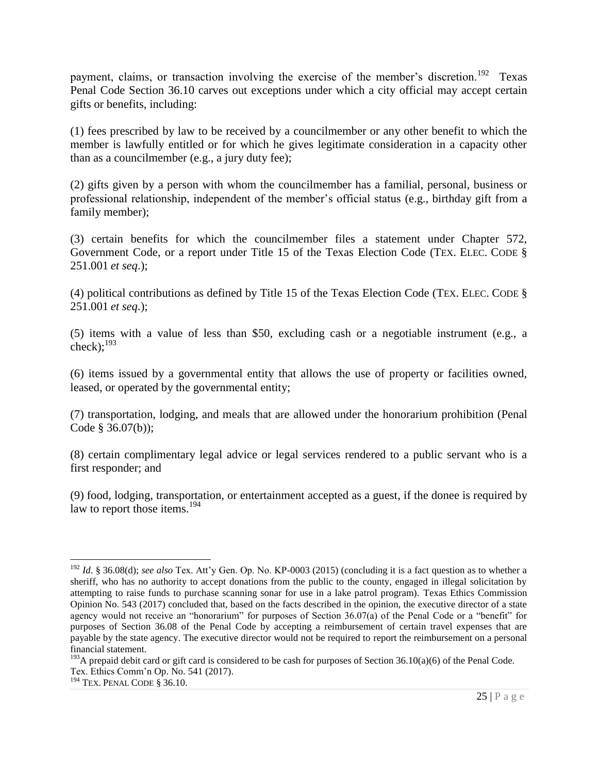payment, claims, or transaction involving the exercise of the member's discretion.<sup>192</sup> Texas Penal Code Section 36.10 carves out exceptions under which a city official may accept certain gifts or benefits, including:

(1) fees prescribed by law to be received by a councilmember or any other benefit to which the member is lawfully entitled or for which he gives legitimate consideration in a capacity other than as a councilmember (e.g., a jury duty fee);

(2) gifts given by a person with whom the councilmember has a familial, personal, business or professional relationship, independent of the member's official status (e.g., birthday gift from a family member);

(3) certain benefits for which the councilmember files a statement under Chapter 572, Government Code, or a report under Title 15 of the Texas Election Code (TEX. ELEC. CODE § 251.001 *et seq*.);

(4) political contributions as defined by Title 15 of the Texas Election Code (TEX. ELEC. CODE § 251.001 *et seq*.);

(5) items with a value of less than \$50, excluding cash or a negotiable instrument (e.g., a  $check)$ ;<sup>193</sup>

(6) items issued by a governmental entity that allows the use of property or facilities owned, leased, or operated by the governmental entity;

(7) transportation, lodging, and meals that are allowed under the honorarium prohibition (Penal Code § 36.07(b));

(8) certain complimentary legal advice or legal services rendered to a public servant who is a first responder; and

(9) food, lodging, transportation, or entertainment accepted as a guest, if the donee is required by law to report those items.<sup>194</sup>

 $\overline{\phantom{a}}$ <sup>192</sup> *Id*. § 36.08(d); *see also* Tex. Att'y Gen. Op. No. KP-0003 (2015) (concluding it is a fact question as to whether a sheriff, who has no authority to accept donations from the public to the county, engaged in illegal solicitation by attempting to raise funds to purchase scanning sonar for use in a lake patrol program). Texas Ethics Commission Opinion No. 543 (2017) concluded that, based on the facts described in the opinion, the executive director of a state agency would not receive an "honorarium" for purposes of Section 36.07(a) of the Penal Code or a "benefit" for purposes of Section 36.08 of the Penal Code by accepting a reimbursement of certain travel expenses that are payable by the state agency. The executive director would not be required to report the reimbursement on a personal financial statement.

<sup>&</sup>lt;sup>193</sup>A prepaid debit card or gift card is considered to be cash for purposes of Section  $36.10(a)(6)$  of the Penal Code. Tex. Ethics Comm'n Op. No. 541 (2017).

<sup>194</sup> TEX. PENAL CODE § 36.10.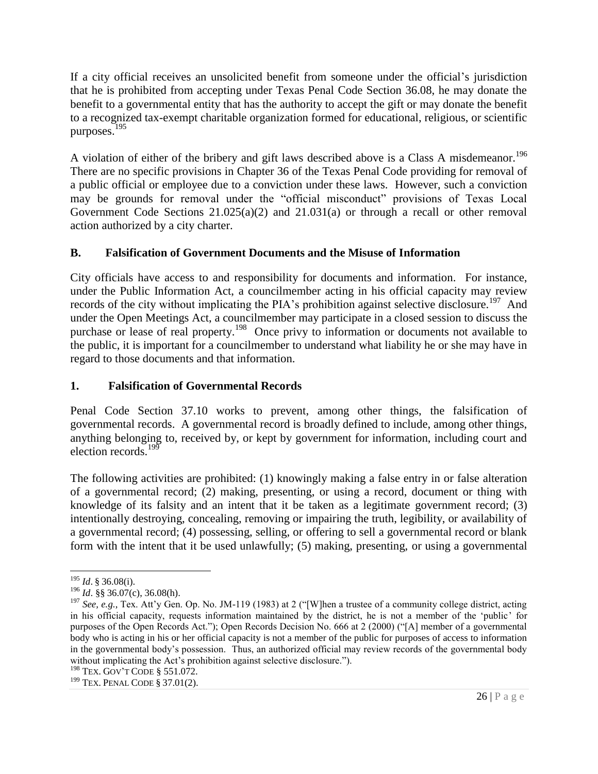If a city official receives an unsolicited benefit from someone under the official's jurisdiction that he is prohibited from accepting under Texas Penal Code Section 36.08, he may donate the benefit to a governmental entity that has the authority to accept the gift or may donate the benefit to a recognized tax-exempt charitable organization formed for educational, religious, or scientific purposes.<sup>195</sup>

A violation of either of the bribery and gift laws described above is a Class A misdemeanor.<sup>196</sup> There are no specific provisions in Chapter 36 of the Texas Penal Code providing for removal of a public official or employee due to a conviction under these laws. However, such a conviction may be grounds for removal under the "official misconduct" provisions of Texas Local Government Code Sections 21.025(a)(2) and 21.031(a) or through a recall or other removal action authorized by a city charter.

# **B. Falsification of Government Documents and the Misuse of Information**

City officials have access to and responsibility for documents and information. For instance, under the Public Information Act, a councilmember acting in his official capacity may review records of the city without implicating the PIA's prohibition against selective disclosure.<sup>197</sup> And under the Open Meetings Act, a councilmember may participate in a closed session to discuss the purchase or lease of real property.<sup>198</sup> Once privy to information or documents not available to the public, it is important for a councilmember to understand what liability he or she may have in regard to those documents and that information.

# **1. Falsification of Governmental Records**

Penal Code Section 37.10 works to prevent, among other things, the falsification of governmental records. A governmental record is broadly defined to include, among other things, anything belonging to, received by, or kept by government for information, including court and election records.<sup>199</sup>

The following activities are prohibited: (1) knowingly making a false entry in or false alteration of a governmental record; (2) making, presenting, or using a record, document or thing with knowledge of its falsity and an intent that it be taken as a legitimate government record; (3) intentionally destroying, concealing, removing or impairing the truth, legibility, or availability of a governmental record; (4) possessing, selling, or offering to sell a governmental record or blank form with the intent that it be used unlawfully; (5) making, presenting, or using a governmental

l

<sup>195</sup> *Id*. § 36.08(i).

<sup>196</sup> *Id*. §§ 36.07(c), 36.08(h).

<sup>197</sup> *See, e.g.*, Tex. Att'y Gen. Op. No. JM-119 (1983) at 2 ("[W]hen a trustee of a community college district, acting in his official capacity, requests information maintained by the district, he is not a member of the 'public' for purposes of the Open Records Act."); Open Records Decision No. 666 at 2 (2000) ("[A] member of a governmental body who is acting in his or her official capacity is not a member of the public for purposes of access to information in the governmental body's possession. Thus, an authorized official may review records of the governmental body without implicating the Act's prohibition against selective disclosure.").

<sup>198</sup> TEX. GOV'T CODE § 551.072.

<sup>199</sup> TEX. PENAL CODE § 37.01(2).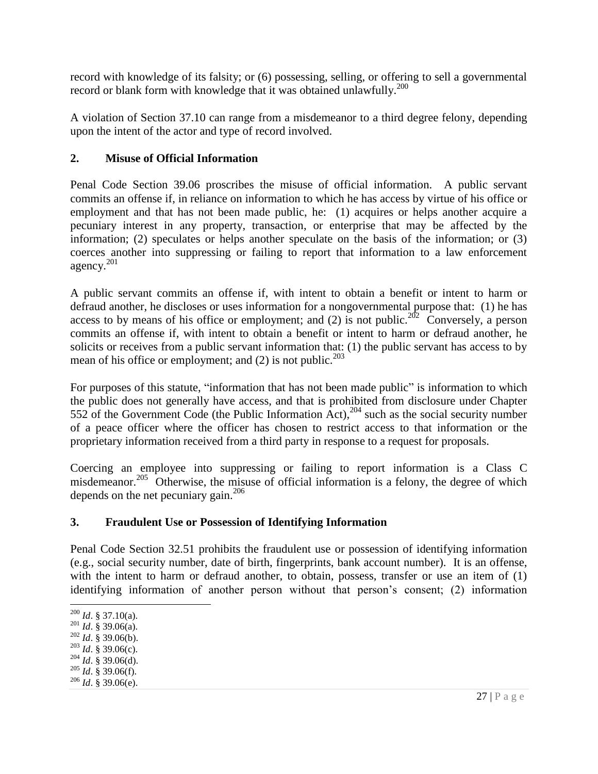record with knowledge of its falsity; or (6) possessing, selling, or offering to sell a governmental record or blank form with knowledge that it was obtained unlawfully.<sup>200</sup>

A violation of Section 37.10 can range from a misdemeanor to a third degree felony, depending upon the intent of the actor and type of record involved.

# **2. Misuse of Official Information**

Penal Code Section 39.06 proscribes the misuse of official information. A public servant commits an offense if, in reliance on information to which he has access by virtue of his office or employment and that has not been made public, he: (1) acquires or helps another acquire a pecuniary interest in any property, transaction, or enterprise that may be affected by the information; (2) speculates or helps another speculate on the basis of the information; or (3) coerces another into suppressing or failing to report that information to a law enforcement agency.<sup>201</sup>

A public servant commits an offense if, with intent to obtain a benefit or intent to harm or defraud another, he discloses or uses information for a nongovernmental purpose that: (1) he has access to by means of his office or employment; and (2) is not public.<sup>202</sup> Conversely, a person commits an offense if, with intent to obtain a benefit or intent to harm or defraud another, he solicits or receives from a public servant information that: (1) the public servant has access to by mean of his office or employment; and  $(2)$  is not public.<sup>203</sup>

For purposes of this statute, "information that has not been made public" is information to which the public does not generally have access, and that is prohibited from disclosure under Chapter 552 of the Government Code (the Public Information Act),  $^{204}$  such as the social security number of a peace officer where the officer has chosen to restrict access to that information or the proprietary information received from a third party in response to a request for proposals.

Coercing an employee into suppressing or failing to report information is a Class C misdemeanor.<sup>205</sup> Otherwise, the misuse of official information is a felony, the degree of which depends on the net pecuniary gain.<sup>206</sup>

# **3. Fraudulent Use or Possession of Identifying Information**

Penal Code Section 32.51 prohibits the fraudulent use or possession of identifying information (e.g., social security number, date of birth, fingerprints, bank account number). It is an offense, with the intent to harm or defraud another, to obtain, possess, transfer or use an item of (1) identifying information of another person without that person's consent; (2) information

- <sup>201</sup> *Id*. § 39.06(a).
- <sup>202</sup> *Id*. § 39.06(b).
- <sup>203</sup> *Id*. § 39.06(c).
- <sup>204</sup> *Id*. § 39.06(d).
- <sup>205</sup> *Id*. § 39.06(f). <sup>206</sup> *Id*. § 39.06(e).

l <sup>200</sup> *Id*. § 37.10(a).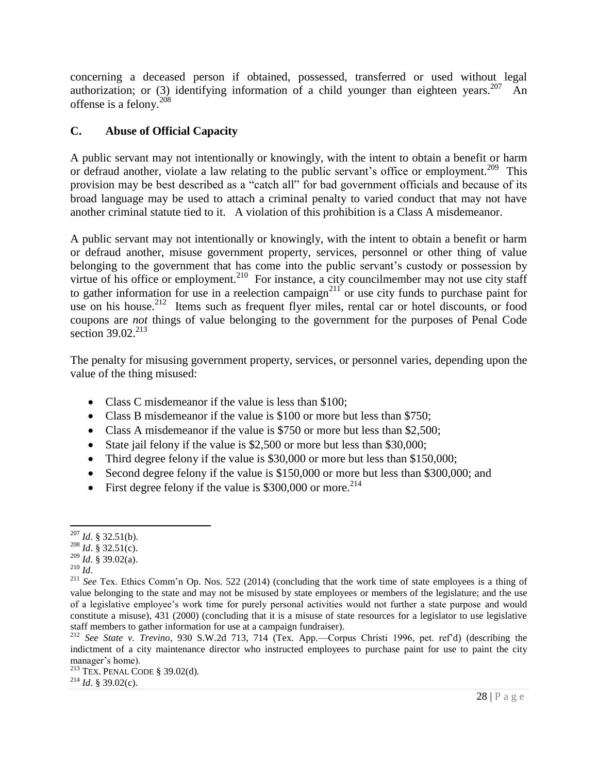concerning a deceased person if obtained, possessed, transferred or used without legal authorization; or (3) identifying information of a child younger than eighteen years.  $207$  An offense is a felony.<sup>208</sup>

## **C. Abuse of Official Capacity**

A public servant may not intentionally or knowingly, with the intent to obtain a benefit or harm or defraud another, violate a law relating to the public servant's office or employment.<sup>209</sup> This provision may be best described as a "catch all" for bad government officials and because of its broad language may be used to attach a criminal penalty to varied conduct that may not have another criminal statute tied to it. A violation of this prohibition is a Class A misdemeanor.

A public servant may not intentionally or knowingly, with the intent to obtain a benefit or harm or defraud another, misuse government property, services, personnel or other thing of value belonging to the government that has come into the public servant's custody or possession by virtue of his office or employment.<sup>210</sup> For instance, a city councilmember may not use city staff to gather information for use in a reelection campaign<sup>211</sup> or use city funds to purchase paint for use on his house.<sup>212</sup> Items such as frequent flyer miles, rental car or hotel discounts, or food coupons are *not* things of value belonging to the government for the purposes of Penal Code section 39.02.<sup>213</sup>

The penalty for misusing government property, services, or personnel varies, depending upon the value of the thing misused:

- Class C misdemeanor if the value is less than \$100;
- Class B misdemeanor if the value is \$100 or more but less than \$750;
- Class A misdemeanor if the value is \$750 or more but less than \$2,500;
- State jail felony if the value is \$2,500 or more but less than \$30,000;
- Third degree felony if the value is \$30,000 or more but less than \$150,000;
- Second degree felony if the value is \$150,000 or more but less than \$300,000; and
- First degree felony if the value is  $$300,000$  or more.<sup>214</sup>

 $\overline{\phantom{a}}$ 

<sup>214</sup> *Id*. § 39.02(c).

<sup>207</sup> *Id*. § 32.51(b).

<sup>208</sup> *Id*. § 32.51(c).

<sup>209</sup> *Id*. § 39.02(a).

<sup>210</sup> *Id*.

<sup>&</sup>lt;sup>211</sup> See Tex. Ethics Comm'n Op. Nos. 522 (2014) (concluding that the work time of state employees is a thing of value belonging to the state and may not be misused by state employees or members of the legislature; and the use of a legislative employee's work time for purely personal activities would not further a state purpose and would constitute a misuse), 431 (2000) (concluding that it is a misuse of state resources for a legislator to use legislative staff members to gather information for use at a campaign fundraiser).

<sup>212</sup> *See State v. Trevino*, 930 S.W.2d 713, 714 (Tex. App.—Corpus Christi 1996, pet. ref'd) (describing the indictment of a city maintenance director who instructed employees to purchase paint for use to paint the city manager's home).

<sup>213</sup> TEX. PENAL CODE § 39.02(d).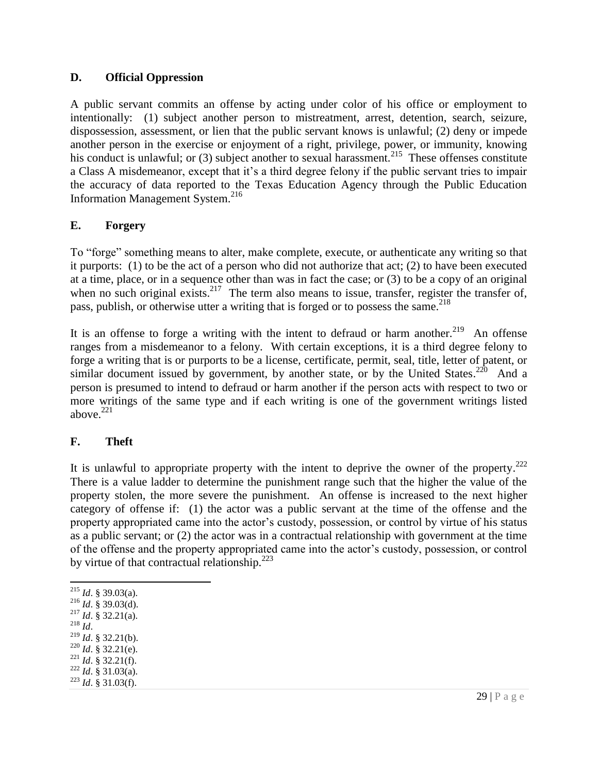#### **D. Official Oppression**

A public servant commits an offense by acting under color of his office or employment to intentionally: (1) subject another person to mistreatment, arrest, detention, search, seizure, dispossession, assessment, or lien that the public servant knows is unlawful; (2) deny or impede another person in the exercise or enjoyment of a right, privilege, power, or immunity, knowing his conduct is unlawful; or  $(3)$  subject another to sexual harassment.<sup>215</sup> These offenses constitute a Class A misdemeanor, except that it's a third degree felony if the public servant tries to impair the accuracy of data reported to the Texas Education Agency through the Public Education Information Management System. 216

#### **E. Forgery**

To "forge" something means to alter, make complete, execute, or authenticate any writing so that it purports: (1) to be the act of a person who did not authorize that act; (2) to have been executed at a time, place, or in a sequence other than was in fact the case; or (3) to be a copy of an original when no such original exists.<sup>217</sup> The term also means to issue, transfer, register the transfer of, pass, publish, or otherwise utter a writing that is forged or to possess the same.<sup>218</sup>

It is an offense to forge a writing with the intent to defraud or harm another.<sup>219</sup> An offense ranges from a misdemeanor to a felony. With certain exceptions, it is a third degree felony to forge a writing that is or purports to be a license, certificate, permit, seal, title, letter of patent, or similar document issued by government, by another state, or by the United States.<sup>220</sup> And a person is presumed to intend to defraud or harm another if the person acts with respect to two or more writings of the same type and if each writing is one of the government writings listed above. $221$ 

# **F. Theft**

It is unlawful to appropriate property with the intent to deprive the owner of the property.<sup>222</sup> There is a value ladder to determine the punishment range such that the higher the value of the property stolen, the more severe the punishment. An offense is increased to the next higher category of offense if: (1) the actor was a public servant at the time of the offense and the property appropriated came into the actor's custody, possession, or control by virtue of his status as a public servant; or (2) the actor was in a contractual relationship with government at the time of the offense and the property appropriated came into the actor's custody, possession, or control by virtue of that contractual relationship. $^{223}$ 

- $\overline{a}$ <sup>215</sup> *Id*. § 39.03(a).
- <sup>216</sup> *Id*. § 39.03(d).
- <sup>217</sup> *Id*. § 32.21(a).
- <sup>218</sup> *Id*.
- <sup>219</sup> *Id*. § 32.21(b).  $^{220}$  *Id.* § 32.21(e).
- <sup>221</sup> *Id*. § 32.21(f).
- <sup>222</sup> *Id*. § 31.03(a).
- <sup>223</sup> *Id*. § 31.03(f).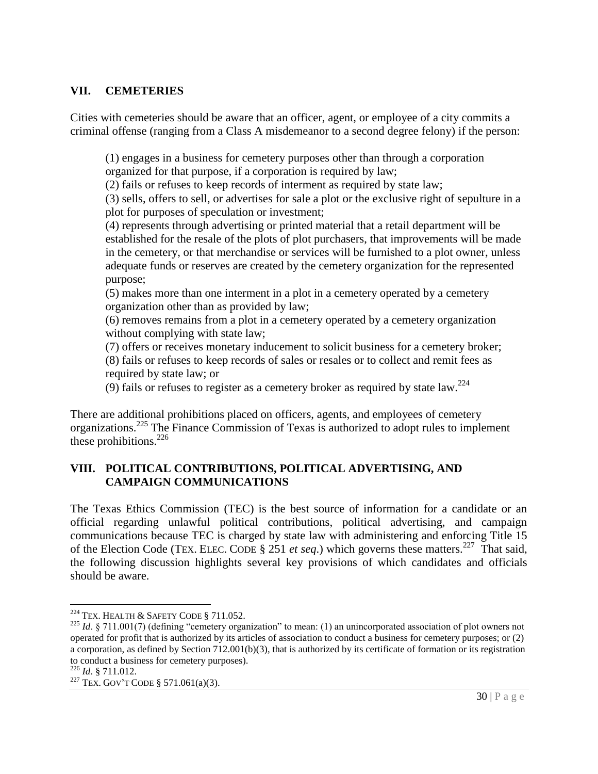#### **VII. CEMETERIES**

Cities with cemeteries should be aware that an officer, agent, or employee of a city commits a criminal offense (ranging from a Class A misdemeanor to a second degree felony) if the person:

(1) engages in a business for cemetery purposes other than through a corporation organized for that purpose, if a corporation is required by law;

(2) fails or refuses to keep records of interment as required by state law;

(3) sells, offers to sell, or advertises for sale a plot or the exclusive right of sepulture in a plot for purposes of speculation or investment;

(4) represents through advertising or printed material that a retail department will be established for the resale of the plots of plot purchasers, that improvements will be made in the cemetery, or that merchandise or services will be furnished to a plot owner, unless adequate funds or reserves are created by the cemetery organization for the represented purpose;

(5) makes more than one interment in a plot in a cemetery operated by a cemetery organization other than as provided by law;

(6) removes remains from a plot in a cemetery operated by a cemetery organization without complying with state law;

(7) offers or receives monetary inducement to solicit business for a cemetery broker;

(8) fails or refuses to keep records of sales or resales or to collect and remit fees as required by state law; or

(9) fails or refuses to register as a cemetery broker as required by state law.<sup>224</sup>

There are additional prohibitions placed on officers, agents, and employees of cemetery organizations.<sup>225</sup> The Finance Commission of Texas is authorized to adopt rules to implement these prohibitions.<sup>226</sup>

#### **VIII. POLITICAL CONTRIBUTIONS, POLITICAL ADVERTISING, AND CAMPAIGN COMMUNICATIONS**

The Texas Ethics Commission (TEC) is the best source of information for a candidate or an official regarding unlawful political contributions, political advertising, and campaign communications because TEC is charged by state law with administering and enforcing Title 15 of the Election Code (TEX. ELEC. CODE  $\S$  251 *et seq.*) which governs these matters.<sup>227</sup> That said, the following discussion highlights several key provisions of which candidates and officials should be aware.

l  $224$  Tex. Health & Safety Code § 711.052.

<sup>&</sup>lt;sup>225</sup> *Id.* § 711.001(7) (defining "cemetery organization" to mean: (1) an unincorporated association of plot owners not operated for profit that is authorized by its articles of association to conduct a business for cemetery purposes; or (2) a corporation, as defined by Section 712.001(b)(3), that is authorized by its certificate of formation or its registration to conduct a business for cemetery purposes).

<sup>226</sup> *Id*. § 711.012.

<sup>&</sup>lt;sup>227</sup> TEX. GOV'T CODE § 571.061(a)(3).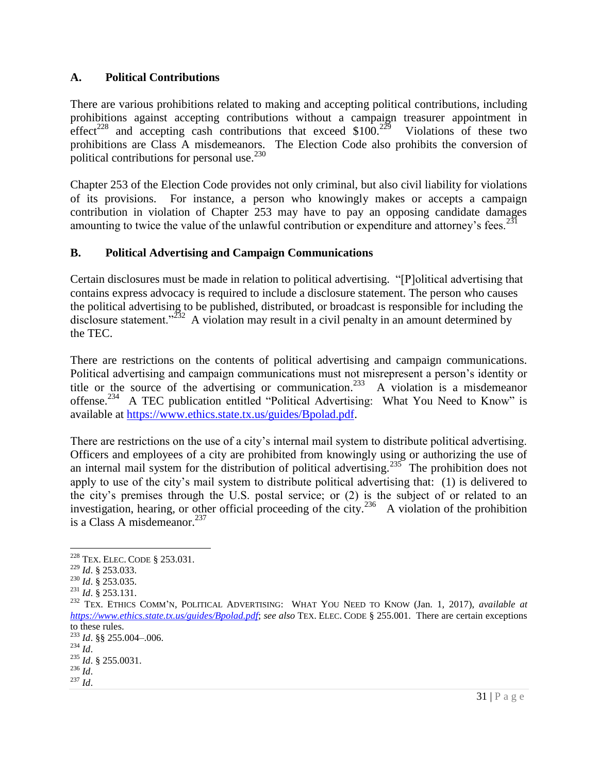## **A. Political Contributions**

There are various prohibitions related to making and accepting political contributions, including prohibitions against accepting contributions without a campaign treasurer appointment in effect<sup>228</sup> and accepting cash contributions that exceed  $$100.<sup>229</sup>$  Violations of these two prohibitions are Class A misdemeanors. The Election Code also prohibits the conversion of political contributions for personal use.<sup>230</sup>

Chapter 253 of the Election Code provides not only criminal, but also civil liability for violations of its provisions. For instance, a person who knowingly makes or accepts a campaign contribution in violation of Chapter 253 may have to pay an opposing candidate damages amounting to twice the value of the unlawful contribution or expenditure and attorney's fees.<sup>231</sup>

## **B. Political Advertising and Campaign Communications**

Certain disclosures must be made in relation to political advertising. "[P]olitical advertising that contains express advocacy is required to include a disclosure statement. The person who causes the political advertising to be published, distributed, or broadcast is responsible for including the disclosure statement."<sup>232</sup> A violation may result in a civil penalty in an amount determined by the TEC.

There are restrictions on the contents of political advertising and campaign communications. Political advertising and campaign communications must not misrepresent a person's identity or title or the source of the advertising or communication.<sup>233</sup> A violation is a misdemeanor offense.<sup>234</sup> A TEC publication entitled "Political Advertising: What You Need to Know" is available at [https://www.ethics.state.tx.us/guides/Bpolad.pdf.](https://www.ethics.state.tx.us/guides/Bpolad.pdf)

There are restrictions on the use of a city's internal mail system to distribute political advertising. Officers and employees of a city are prohibited from knowingly using or authorizing the use of an internal mail system for the distribution of political advertising.<sup>235</sup> The prohibition does not apply to use of the city's mail system to distribute political advertising that: (1) is delivered to the city's premises through the U.S. postal service; or (2) is the subject of or related to an investigation, hearing, or other official proceeding of the city.<sup>236</sup> A violation of the prohibition is a Class A misdemeanor. $237$ 

 $\overline{\phantom{a}}$ <sup>228</sup> TEX. ELEC. CODE § 253.031.

<sup>229</sup> *Id*. § 253.033.

<sup>230</sup> *Id*. § 253.035.

<sup>231</sup> *Id*. § 253.131.

<sup>232</sup> TEX. ETHICS COMM'N, POLITICAL ADVERTISING: WHAT YOU NEED TO KNOW (Jan. 1, 2017), *available at <https://www.ethics.state.tx.us/guides/Bpolad.pdf>*; *see also* TEX. ELEC. CODE § 255.001. There are certain exceptions to these rules.

<sup>233</sup> *Id*. §§ 255.004–.006.

 $^{234}$  *Id.* 

<sup>235</sup> *Id*. § 255.0031.

<sup>236</sup> *Id*.  $^{237}$  *Id.*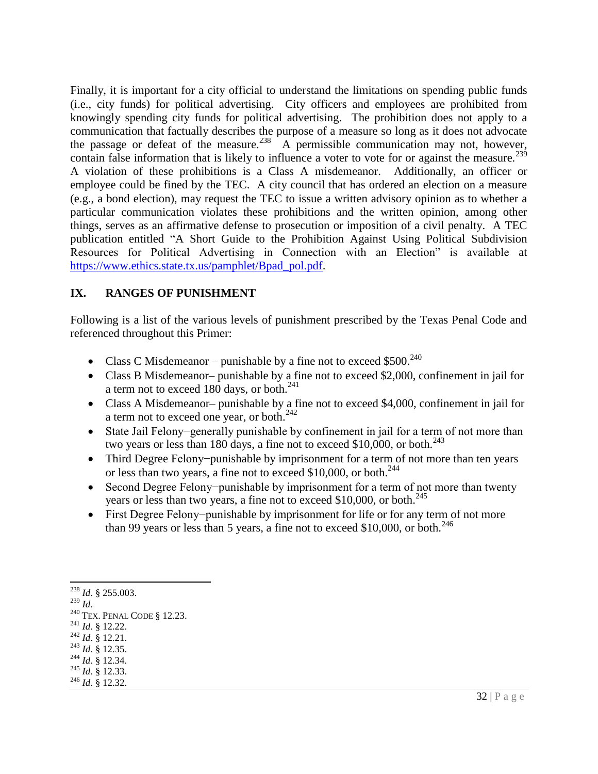Finally, it is important for a city official to understand the limitations on spending public funds (i.e., city funds) for political advertising. City officers and employees are prohibited from knowingly spending city funds for political advertising. The prohibition does not apply to a communication that factually describes the purpose of a measure so long as it does not advocate the passage or defeat of the measure.<sup>238</sup> A permissible communication may not, however, contain false information that is likely to influence a voter to vote for or against the measure.<sup>239</sup> A violation of these prohibitions is a Class A misdemeanor. Additionally, an officer or employee could be fined by the TEC. A city council that has ordered an election on a measure (e.g., a bond election), may request the TEC to issue a written advisory opinion as to whether a particular communication violates these prohibitions and the written opinion, among other things, serves as an affirmative defense to prosecution or imposition of a civil penalty. A TEC publication entitled "A Short Guide to the Prohibition Against Using Political Subdivision Resources for Political Advertising in Connection with an Election" is available at [https://www.ethics.state.tx.us/pamphlet/Bpad\\_pol.pdf.](https://www.ethics.state.tx.us/pamphlet/Bpad_pol.pdf)

# **IX. RANGES OF PUNISHMENT**

Following is a list of the various levels of punishment prescribed by the Texas Penal Code and referenced throughout this Primer:

- Class C Misdemeanor punishable by a fine not to exceed  $$500.<sup>240</sup>$
- Class B Misdemeanor– punishable by a fine not to exceed \$2,000, confinement in jail for a term not to exceed  $180$  days, or both.<sup>241</sup>
- Class A Misdemeanor– punishable by a fine not to exceed \$4,000, confinement in jail for a term not to exceed one year, or both. $^{242}$
- State Jail Felony−generally punishable by confinement in jail for a term of not more than two years or less than 180 days, a fine not to exceed \$10,000, or both. $^{243}$
- Third Degree Felony−punishable by imprisonment for a term of not more than ten years or less than two years, a fine not to exceed \$10,000, or both.<sup>244</sup>
- Second Degree Felony−punishable by imprisonment for a term of not more than twenty years or less than two years, a fine not to exceed \$10,000, or both.<sup>245</sup>
- First Degree Felony−punishable by imprisonment for life or for any term of not more than 99 years or less than 5 years, a fine not to exceed \$10,000, or both.<sup>246</sup>

 $\overline{a}$ <sup>238</sup> *Id*. § 255.003. <sup>239</sup> *Id*.  $^{240}$  TEX. PENAL CODE  $\mathcal{\S}$  12.23. <sup>241</sup> *Id*. § 12.22. <sup>242</sup> *Id*. § 12.21. <sup>243</sup> *Id*. § 12.35. <sup>244</sup> *Id*. § 12.34. <sup>245</sup> *Id*. § 12.33. <sup>246</sup> *Id*. § 12.32.